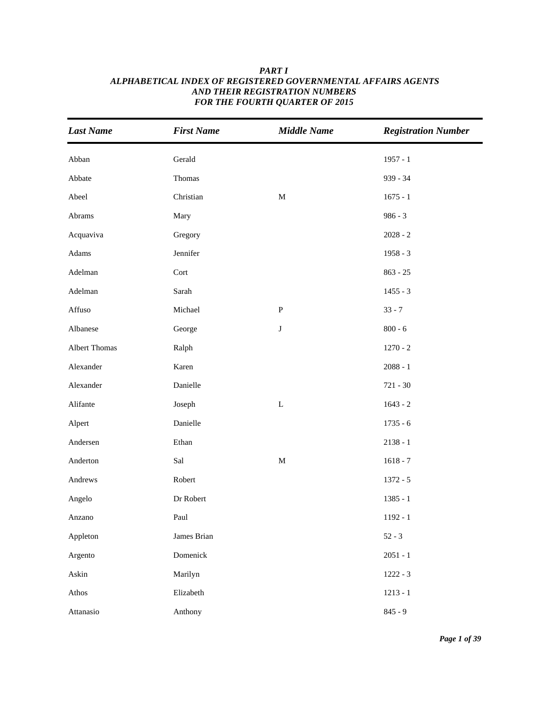| <b>Last Name</b>     | <b>First Name</b> | <b>Middle Name</b> | <b>Registration Number</b> |
|----------------------|-------------------|--------------------|----------------------------|
| Abban                | Gerald            |                    | $1957 - 1$                 |
| Abbate               | Thomas            |                    | 939 - 34                   |
| Abeel                | Christian         | $\mathbf M$        | $1675 - 1$                 |
| Abrams               | Mary              |                    | $986 - 3$                  |
| Acquaviva            | Gregory           |                    | $2028 - 2$                 |
| Adams                | Jennifer          |                    | $1958 - 3$                 |
| Adelman              | Cort              |                    | $863 - 25$                 |
| Adelman              | Sarah             |                    | $1455 - 3$                 |
| Affuso               | Michael           | ${\bf P}$          | $33 - 7$                   |
| Albanese             | George            | $\bf J$            | $800 - 6$                  |
| <b>Albert Thomas</b> | Ralph             |                    | $1270 - 2$                 |
| Alexander            | Karen             |                    | $2088 - 1$                 |
| Alexander            | Danielle          |                    | $721 - 30$                 |
| Alifante             | Joseph            | $\mathbf L$        | $1643 - 2$                 |
| Alpert               | Danielle          |                    | $1735 - 6$                 |
| Andersen             | Ethan             |                    | $2138 - 1$                 |
| Anderton             | Sal               | $\mathbf M$        | $1618 - 7$                 |
| Andrews              | Robert            |                    | $1372 - 5$                 |
| Angelo               | Dr Robert         |                    | $1385 - 1$                 |
| Anzano               | Paul              |                    | $1192 - 1$                 |
| Appleton             | James Brian       |                    | $52 - 3$                   |
| Argento              | Domenick          |                    | $2051 - 1$                 |
| Askin                | Marilyn           |                    | $1222 - 3$                 |
| Athos                | Elizabeth         |                    | $1213 - 1$                 |
| Attanasio            | Anthony           |                    | $845 - 9$                  |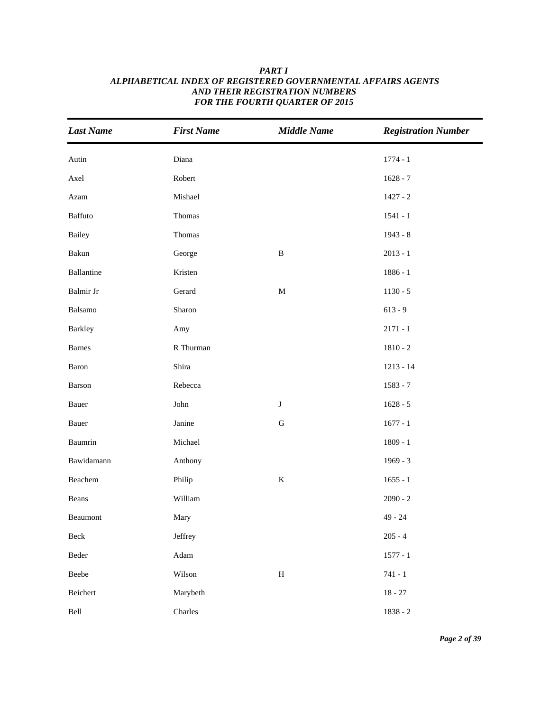| <b>Last Name</b> | <b>First Name</b>        | <b>Middle Name</b> | <b>Registration Number</b> |
|------------------|--------------------------|--------------------|----------------------------|
| Autin            | Diana                    |                    | $1774 - 1$                 |
| Axel             | Robert                   |                    | $1628 - 7$                 |
| Azam             | Mishael                  |                    | $1427 - 2$                 |
| Baffuto          | Thomas                   |                    | $1541 - 1$                 |
| <b>Bailey</b>    | Thomas                   |                    | 1943 - 8                   |
| Bakun            | George                   | $\, {\bf B}$       | $2013 - 1$                 |
| Ballantine       | Kristen                  |                    | $1886 - 1$                 |
| Balmir Jr        | Gerard                   | $\mathbf M$        | $1130 - 5$                 |
| Balsamo          | Sharon                   |                    | $613 - 9$                  |
| <b>Barkley</b>   | Amy                      |                    | $2171 - 1$                 |
| <b>Barnes</b>    | R Thurman                |                    | $1810 - 2$                 |
| Baron            | Shira                    |                    | $1213 - 14$                |
| Barson           | Rebecca                  |                    | $1583 - 7$                 |
| Bauer            | $\mathop{\mathsf{John}}$ | $\bf J$            | $1628 - 5$                 |
| Bauer            | Janine                   | ${\bf G}$          | $1677 - 1$                 |
| Baumrin          | Michael                  |                    | $1809 - 1$                 |
| Bawidamann       | Anthony                  |                    | $1969 - 3$                 |
| Beachem          | Philip                   | $\bf K$            | $1655 - 1$                 |
| Beans            | William                  |                    | $2090 - 2$                 |
| Beaumont         | Mary                     |                    | $49 - 24$                  |
| Beck             | Jeffrey                  |                    | $205 - 4$                  |
| Beder            | Adam                     |                    | $1577 - 1$                 |
| ${\bf Beebe}$    | Wilson                   | $\, {\rm H}$       | $741 - 1$                  |
| Beichert         | Marybeth                 |                    | $18 - 27$                  |
| Bell             | Charles                  |                    | $1838 - 2$                 |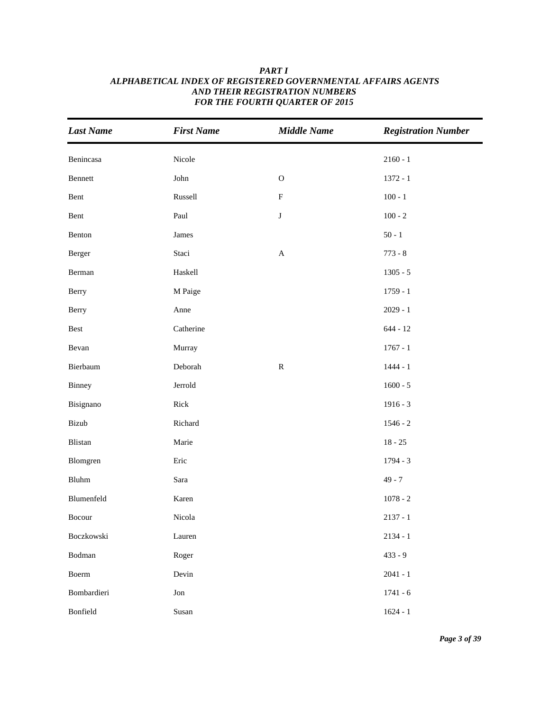| <b>Last Name</b> | <b>First Name</b> | <b>Middle Name</b>        | <b>Registration Number</b> |
|------------------|-------------------|---------------------------|----------------------------|
| Benincasa        | Nicole            |                           | $2160 - 1$                 |
| Bennett          | John              | $\mathbf O$               | $1372 - 1$                 |
| Bent             | Russell           | $\boldsymbol{\mathrm{F}}$ | $100 - 1$                  |
| Bent             | Paul              | $\bf J$                   | $100 - 2$                  |
| Benton           | James             |                           | $50 - 1$                   |
| Berger           | Staci             | $\mathbf{A}$              | $773 - 8$                  |
| Berman           | Haskell           |                           | $1305 - 5$                 |
| Berry            | M Paige           |                           | $1759 - 1$                 |
| Berry            | Anne              |                           | $2029 - 1$                 |
| Best             | Catherine         |                           | $644 - 12$                 |
| Bevan            | Murray            |                           | $1767 - 1$                 |
| Bierbaum         | Deborah           | ${\bf R}$                 | $1444 - 1$                 |
| Binney           | Jerrold           |                           | $1600 - 5$                 |
| Bisignano        | Rick              |                           | $1916 - 3$                 |
| Bizub            | Richard           |                           | $1546 - 2$                 |
| Blistan          | Marie             |                           | $18 - 25$                  |
| Blomgren         | Eric              |                           | $1794 - 3$                 |
| Bluhm            | Sara              |                           | $49 - 7$                   |
| Blumenfeld       | Karen             |                           | $1078 - 2$                 |
| Bocour           | Nicola            |                           | $2137 - 1$                 |
| Boczkowski       | Lauren            |                           | $2134 - 1$                 |
| Bodman           | Roger             |                           | $433 - 9$                  |
| Boerm            | Devin             |                           | $2041 - 1$                 |
| Bombardieri      | Jon               |                           | $1741 - 6$                 |
| Bonfield         | Susan             |                           | $1624 - 1$                 |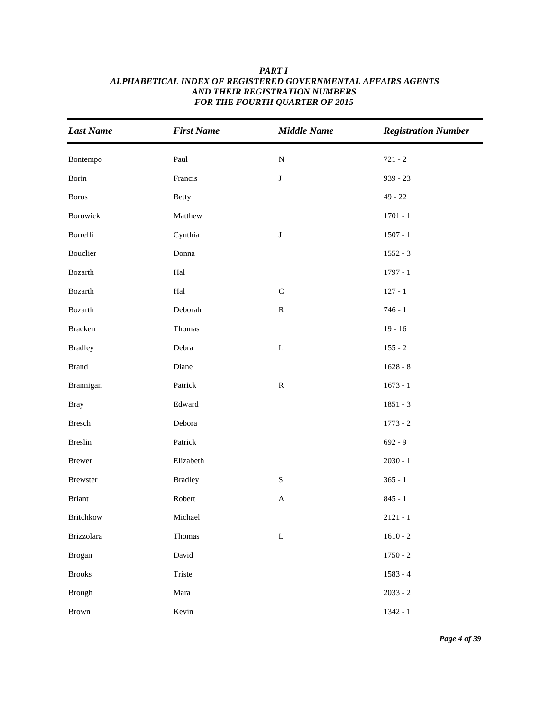| <b>Last Name</b> | <b>First Name</b>    | <b>Middle Name</b> | <b>Registration Number</b> |
|------------------|----------------------|--------------------|----------------------------|
| Bontempo         | Paul                 | ${\bf N}$          | $721 - 2$                  |
| Borin            | Francis              | $\bf J$            | $939 - 23$                 |
| <b>Boros</b>     | <b>Betty</b>         |                    | $49 - 22$                  |
| Borowick         | Matthew              |                    | 1701 - 1                   |
| Borrelli         | Cynthia              | $\bf J$            | $1507 - 1$                 |
| Bouclier         | Donna                |                    | $1552 - 3$                 |
| Bozarth          | Hal                  |                    | $1797 - 1$                 |
| Bozarth          | $\operatorname{Hal}$ | $\mathsf C$        | $127 - 1$                  |
| Bozarth          | Deborah              | ${\bf R}$          | $746 - 1$                  |
| <b>Bracken</b>   | Thomas               |                    | $19 - 16$                  |
| <b>Bradley</b>   | Debra                | $\mathbf L$        | $155 - 2$                  |
| <b>Brand</b>     | Diane                |                    | $1628 - 8$                 |
| Brannigan        | Patrick              | ${\bf R}$          | $1673 - 1$                 |
| <b>Bray</b>      | Edward               |                    | $1851 - 3$                 |
| Bresch           | Debora               |                    | $1773 - 2$                 |
| Breslin          | Patrick              |                    | $692 - 9$                  |
| <b>Brewer</b>    | Elizabeth            |                    | $2030 - 1$                 |
| Brewster         | <b>Bradley</b>       | $\mathbf S$        | $365 - 1$                  |
| <b>Briant</b>    | Robert               | $\mathbf{A}$       | $845 - 1$                  |
| <b>Britchkow</b> | Michael              |                    | $2121 - 1$                 |
| Brizzolara       | Thomas               | $\mathbf L$        | $1610 - 2$                 |
| <b>Brogan</b>    | David                |                    | $1750 - 2$                 |
| <b>Brooks</b>    | Triste               |                    | $1583 - 4$                 |
| <b>Brough</b>    | Mara                 |                    | $2033 - 2$                 |
| Brown            | Kevin                |                    | $1342 - 1$                 |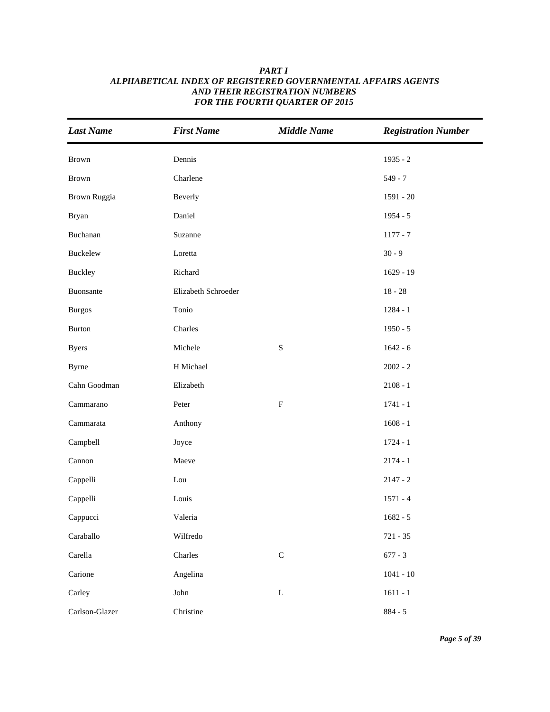| <b>Last Name</b> | <b>First Name</b>   | <b>Middle Name</b> | <b>Registration Number</b> |
|------------------|---------------------|--------------------|----------------------------|
| Brown            | Dennis              |                    | $1935 - 2$                 |
| Brown            | Charlene            |                    | $549 - 7$                  |
| Brown Ruggia     | Beverly             |                    | $1591 - 20$                |
| <b>Bryan</b>     | Daniel              |                    | $1954 - 5$                 |
| Buchanan         | Suzanne             |                    | $1177 - 7$                 |
| Buckelew         | Loretta             |                    | $30 - 9$                   |
| Buckley          | Richard             |                    | $1629 - 19$                |
| Buonsante        | Elizabeth Schroeder |                    | $18 - 28$                  |
| <b>Burgos</b>    | Tonio               |                    | $1284 - 1$                 |
| <b>Burton</b>    | Charles             |                    | $1950 - 5$                 |
| <b>Byers</b>     | Michele             | $\mathbf S$        | $1642 - 6$                 |
| <b>Byrne</b>     | H Michael           |                    | $2002 - 2$                 |
| Cahn Goodman     | Elizabeth           |                    | $2108 - 1$                 |
| Cammarano        | Peter               | ${\bf F}$          | $1741 - 1$                 |
| Cammarata        | Anthony             |                    | $1608 - 1$                 |
| Campbell         | Joyce               |                    | $1724 - 1$                 |
| Cannon           | Maeve               |                    | $2174 - 1$                 |
| Cappelli         | Lou                 |                    | $2147 - 2$                 |
| Cappelli         | Louis               |                    | $1571 - 4$                 |
| Cappucci         | Valeria             |                    | $1682 - 5$                 |
| Caraballo        | Wilfredo            |                    | $721 - 35$                 |
| Carella          | Charles             | $\mathsf C$        | $677 - 3$                  |
| Carione          | Angelina            |                    | $1041 - 10$                |
| Carley           | John                | $\Gamma$           | $1611 - 1$                 |
| Carlson-Glazer   | Christine           |                    | $884 - 5$                  |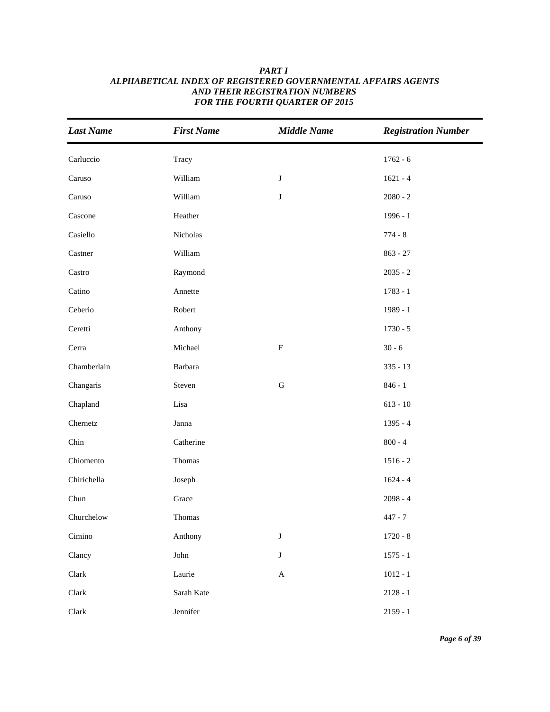| <b>Last Name</b> | <b>First Name</b> | <b>Middle Name</b> | <b>Registration Number</b> |
|------------------|-------------------|--------------------|----------------------------|
| Carluccio        | Tracy             |                    | $1762 - 6$                 |
| Caruso           | William           | $\bf J$            | $1621 - 4$                 |
| Caruso           | William           | $\bf J$            | $2080 - 2$                 |
| Cascone          | Heather           |                    | $1996 - 1$                 |
| Casiello         | Nicholas          |                    | $774 - 8$                  |
| Castner          | William           |                    | $863 - 27$                 |
| Castro           | Raymond           |                    | $2035 - 2$                 |
| Catino           | Annette           |                    | $1783 - 1$                 |
| Ceberio          | Robert            |                    | 1989 - 1                   |
| Ceretti          | Anthony           |                    | $1730 - 5$                 |
| Cerra            | Michael           | ${\bf F}$          | $30 - 6$                   |
| Chamberlain      | Barbara           |                    | $335 - 13$                 |
| Changaris        | Steven            | ${\bf G}$          | $846 - 1$                  |
| Chapland         | Lisa              |                    | $613 - 10$                 |
| Chernetz         | Janna             |                    | $1395 - 4$                 |
| Chin             | Catherine         |                    | $800 - 4$                  |
| Chiomento        | Thomas            |                    | $1516 - 2$                 |
| Chirichella      | Joseph            |                    | $1624 - 4$                 |
| Chun             | Grace             |                    | $2098 - 4$                 |
| Churchelow       | Thomas            |                    | $447 - 7$                  |
| Cimino           | Anthony           | $\bf J$            | $1720 - 8$                 |
| Clancy           | John              | $\bf J$            | $1575 - 1$                 |
| ${\rm Clark}$    | Laurie            | $\mathbf A$        | $1012 - 1$                 |
| ${\rm Clark}$    | Sarah Kate        |                    | $2128 - 1$                 |
| Clark            | Jennifer          |                    | $2159 - 1$                 |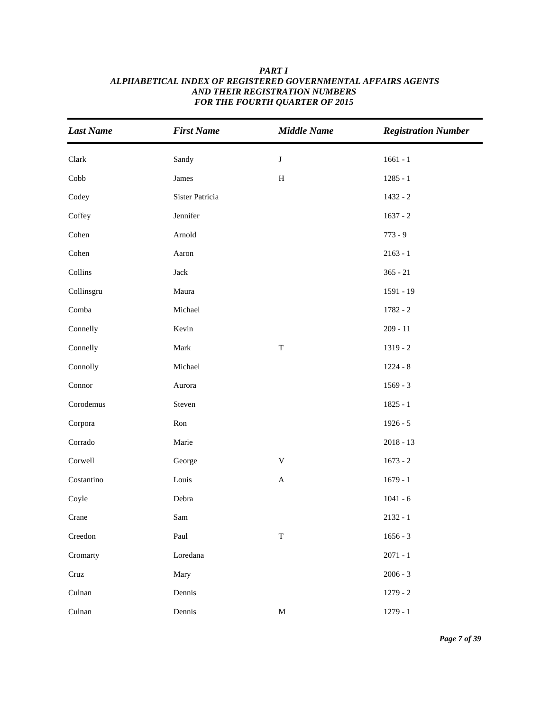| <b>Last Name</b>         | <b>First Name</b> | <b>Middle Name</b>        | <b>Registration Number</b> |
|--------------------------|-------------------|---------------------------|----------------------------|
| Clark                    | Sandy             | $\bf J$                   | $1661 - 1$                 |
| Cobb                     | James             | $\, {\rm H}$              | $1285 - 1$                 |
| Codey                    | Sister Patricia   |                           | $1432 - 2$                 |
| Coffey                   | Jennifer          |                           | $1637 - 2$                 |
| Cohen                    | Arnold            |                           | $773 - 9$                  |
| Cohen                    | Aaron             |                           | $2163 - 1$                 |
| Collins                  | $\rm Jack$        |                           | $365 - 21$                 |
| Collinsgru               | Maura             |                           | 1591 - 19                  |
| Comba                    | Michael           |                           | $1782 - 2$                 |
| Connelly                 | Kevin             |                           | $209 - 11$                 |
| Connelly                 | Mark              | $\mathbf T$               | $1319 - 2$                 |
| Connolly                 | Michael           |                           | $1224 - 8$                 |
| Connor                   | Aurora            |                           | $1569 - 3$                 |
| Corodemus                | Steven            |                           | $1825 - 1$                 |
| Corpora                  | Ron               |                           | $1926 - 5$                 |
| Corrado                  | Marie             |                           | $2018 - 13$                |
| Corwell                  | George            | $\mathbf V$               | $1673 - 2$                 |
| Costantino               | Louis             | $\boldsymbol{\mathsf{A}}$ | $1679 - 1$                 |
| Coyle                    | Debra             |                           | $1041 - 6$                 |
| Crane                    | Sam               |                           | $2132 - 1$                 |
| $\operatorname{Creedon}$ | Paul              | $\mathbf T$               | $1656 - 3$                 |
| Cromarty                 | Loredana          |                           | $2071 - 1$                 |
| Cruz                     | Mary              |                           | $2006 - 3$                 |
| Culnan                   | Dennis            |                           | $1279 - 2$                 |
| Culnan                   | Dennis            | $\mathbf M$               | $1279 - 1$                 |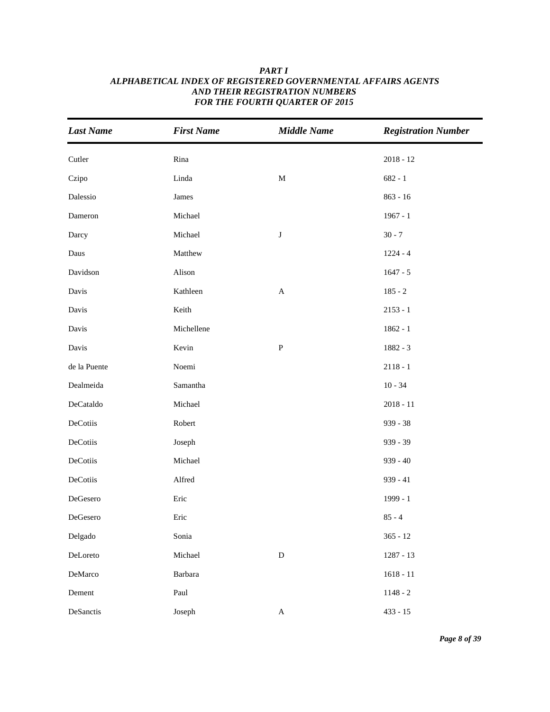| <b>Last Name</b> | <b>First Name</b> | <b>Middle Name</b>        | <b>Registration Number</b> |
|------------------|-------------------|---------------------------|----------------------------|
| Cutler           | Rina              |                           | $2018 - 12$                |
| Czipo            | Linda             | $\mathbf M$               | $682 - 1$                  |
| Dalessio         | James             |                           | $863 - 16$                 |
| Dameron          | Michael           |                           | $1967 - 1$                 |
| Darcy            | Michael           | $\bf J$                   | $30 - 7$                   |
| Daus             | Matthew           |                           | $1224 - 4$                 |
| Davidson         | Alison            |                           | $1647 - 5$                 |
| Davis            | Kathleen          | $\boldsymbol{\mathsf{A}}$ | $185 - 2$                  |
| Davis            | Keith             |                           | $2153 - 1$                 |
| Davis            | Michellene        |                           | $1862 - 1$                 |
| Davis            | Kevin             | ${\bf P}$                 | $1882 - 3$                 |
| de la Puente     | Noemi             |                           | $2118 - 1$                 |
| Dealmeida        | Samantha          |                           | $10 - 34$                  |
| DeCataldo        | Michael           |                           | $2018 - 11$                |
| DeCotiis         | Robert            |                           | 939 - 38                   |
| DeCotiis         | Joseph            |                           | 939 - 39                   |
| DeCotiis         | Michael           |                           | $939 - 40$                 |
| DeCotiis         | Alfred            |                           | $939 - 41$                 |
| DeGesero         | Eric              |                           | 1999 - 1                   |
| DeGesero         | Eric              |                           | $85 - 4$                   |
| Delgado          | Sonia             |                           | $365 - 12$                 |
| DeLoreto         | Michael           | ${\bf D}$                 | 1287 - 13                  |
| DeMarco          | Barbara           |                           | $1618 - 11$                |
| Dement           | Paul              |                           | $1148 - 2$                 |
| DeSanctis        | Joseph            | $\boldsymbol{\mathsf{A}}$ | $433 - 15$                 |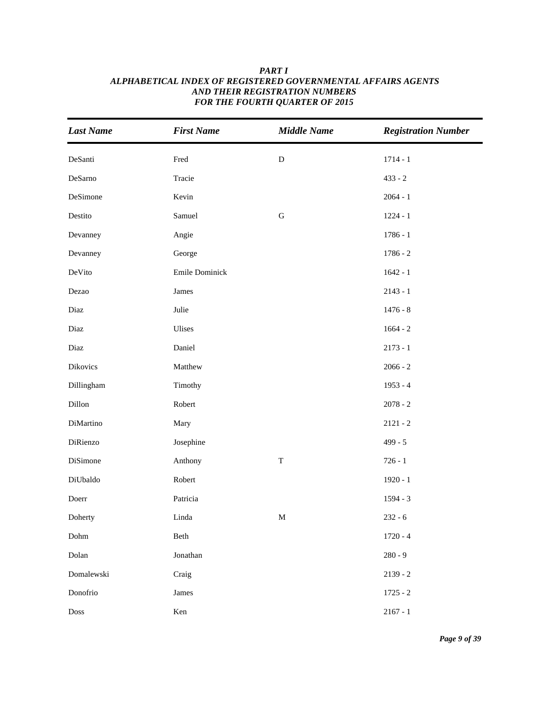| <b>Last Name</b>             | <b>First Name</b> | <b>Middle Name</b> | <b>Registration Number</b> |
|------------------------------|-------------------|--------------------|----------------------------|
| DeSanti                      | Fred              | ${\bf D}$          | $1714 - 1$                 |
| DeSarno                      | Tracie            |                    | $433 - 2$                  |
| DeSimone                     | Kevin             |                    | $2064 - 1$                 |
| Destito                      | Samuel            | ${\bf G}$          | $1224 - 1$                 |
| Devanney                     | Angie             |                    | $1786 - 1$                 |
| Devanney                     | George            |                    | $1786 - 2$                 |
| DeVito                       | Emile Dominick    |                    | $1642 - 1$                 |
| Dezao                        | James             |                    | $2143 - 1$                 |
| Diaz                         | Julie             |                    | $1476 - 8$                 |
| Diaz                         | Ulises            |                    | $1664 - 2$                 |
| Diaz                         | Daniel            |                    | $2173 - 1$                 |
| Dikovics                     | Matthew           |                    | $2066 - 2$                 |
| Dillingham                   | Timothy           |                    | $1953 - 4$                 |
| Dillon                       | Robert            |                    | $2078 - 2$                 |
| DiMartino                    | Mary              |                    | $2121 - 2$                 |
| DiRienzo                     | Josephine         |                    | $499 - 5$                  |
| DiSimone                     | Anthony           | $\mathbf T$        | $726 - 1$                  |
| DiUbaldo                     | Robert            |                    | $1920 - 1$                 |
| Doerr                        | Patricia          |                    | $1594 - 3$                 |
| Doherty                      | Linda             | $\mathbf M$        | $232 - 6$                  |
| $\mathop{\rm Dohm}\nolimits$ | Beth              |                    | $1720 - 4$                 |
| Dolan                        | Jonathan          |                    | $280 - 9$                  |
| Domalewski                   | Craig             |                    | $2139 - 2$                 |
| Donofrio                     | James             |                    | $1725 - 2$                 |
| Doss                         | Ken               |                    | $2167 - 1$                 |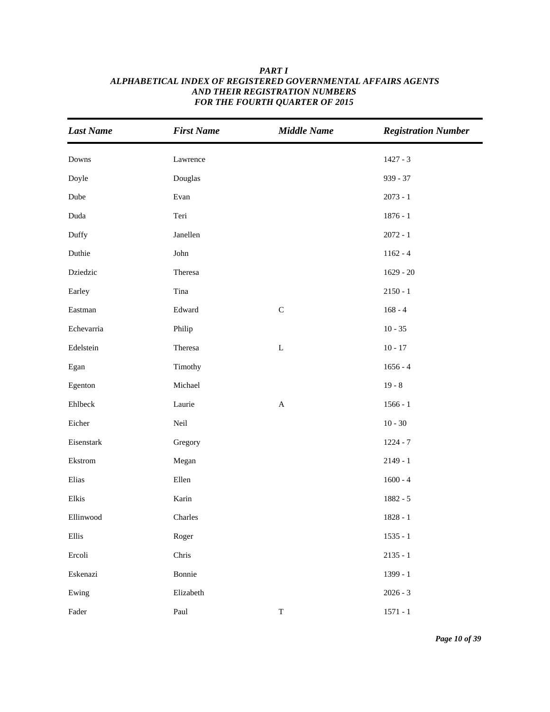| <b>Last Name</b>                | <b>First Name</b> | <b>Middle Name</b>        | <b>Registration Number</b> |
|---------------------------------|-------------------|---------------------------|----------------------------|
| Downs                           | Lawrence          |                           | $1427 - 3$                 |
| Doyle                           | Douglas           |                           | $939 - 37$                 |
| Dube                            | Evan              |                           | $2073 - 1$                 |
| Duda                            | Teri              |                           | $1876 - 1$                 |
| Duffy                           | Janellen          |                           | $2072 - 1$                 |
| Duthie                          | John              |                           | $1162 - 4$                 |
| Dziedzic                        | Theresa           |                           | $1629 - 20$                |
| Earley                          | Tina              |                           | $2150 - 1$                 |
| Eastman                         | Edward            | $\mathbf C$               | $168 - 4$                  |
| Echevarria                      | Philip            |                           | $10 - 35$                  |
| Edelstein                       | Theresa           | $\mathbf L$               | $10 - 17$                  |
| Egan                            | Timothy           |                           | $1656 - 4$                 |
| Egenton                         | Michael           |                           | $19 - 8$                   |
| Ehlbeck                         | Laurie            | $\boldsymbol{\mathsf{A}}$ | $1566 - 1$                 |
| Eicher                          | Neil              |                           | $10 - 30$                  |
| Eisenstark                      | Gregory           |                           | $1224 - 7$                 |
| Ekstrom                         | Megan             |                           | $2149 - 1$                 |
| Elias                           | Ellen             |                           | $1600 - 4$                 |
| Elkis                           | Karin             |                           | $1882 - 5$                 |
| Ellinwood                       | Charles           |                           | $1828 - 1$                 |
| Ellis                           | Roger             |                           | $1535 - 1$                 |
| Ercoli                          | Chris             |                           | $2135 - 1$                 |
| Eskenazi                        | Bonnie            |                           | 1399 - 1                   |
| Ewing                           | Elizabeth         |                           | $2026 - 3$                 |
| $\operatorname{\mathsf{Fader}}$ | Paul              | $\mathbf T$               | $1571 - 1$                 |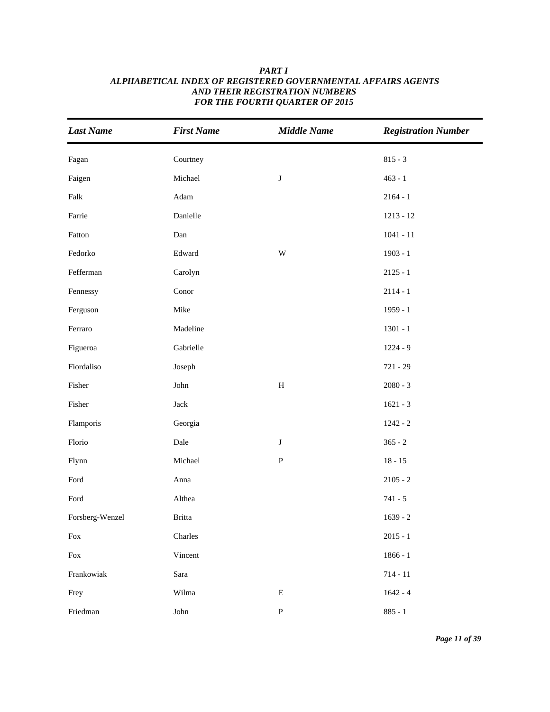| <b>Last Name</b>                                                                                             | <b>First Name</b>        | <b>Middle Name</b> | <b>Registration Number</b> |
|--------------------------------------------------------------------------------------------------------------|--------------------------|--------------------|----------------------------|
| Fagan                                                                                                        | Courtney                 |                    | $815 - 3$                  |
| Faigen                                                                                                       | Michael                  | $\bf J$            | $463 - 1$                  |
| Falk                                                                                                         | Adam                     |                    | $2164 - 1$                 |
| Farrie                                                                                                       | Danielle                 |                    | $1213 - 12$                |
| Fatton                                                                                                       | Dan                      |                    | $1041 - 11$                |
| Fedorko                                                                                                      | Edward                   | $\mathbf W$        | $1903 - 1$                 |
| Fefferman                                                                                                    | Carolyn                  |                    | $2125 - 1$                 |
| Fennessy                                                                                                     | Conor                    |                    | $2114 - 1$                 |
| Ferguson                                                                                                     | Mike                     |                    | $1959 - 1$                 |
| Ferraro                                                                                                      | Madeline                 |                    | $1301 - 1$                 |
| Figueroa                                                                                                     | Gabrielle                |                    | $1224 - 9$                 |
| Fiordaliso                                                                                                   | Joseph                   |                    | $721 - 29$                 |
| Fisher                                                                                                       | $\mathop{\mathsf{John}}$ | $\, {\rm H}$       | $2080 - 3$                 |
| Fisher                                                                                                       | $\rm Jack$               |                    | $1621 - 3$                 |
| Flamporis                                                                                                    | Georgia                  |                    | $1242 - 2$                 |
| Florio                                                                                                       | Dale                     | ${\bf J}$          | $365 - 2$                  |
| Flynn                                                                                                        | Michael                  | ${\bf P}$          | $18 - 15$                  |
| $\operatorname*{Ford}% \nolimits_{\mathbb{Z}}\left( \mathbb{Z}^{\Sigma\left( 1\right) }\right) ^{\otimes n}$ | Anna                     |                    | $2105 - 2$                 |
| Ford                                                                                                         | Althea                   |                    | $741 - 5$                  |
| Forsberg-Wenzel                                                                                              | <b>Britta</b>            |                    | $1639 - 2$                 |
| Fox                                                                                                          | Charles                  |                    | $2015 - 1$                 |
| Fox                                                                                                          | Vincent                  |                    | $1866 - 1$                 |
| Frankowiak                                                                                                   | Sara                     |                    | $714 - 11$                 |
| Frey                                                                                                         | Wilma                    | ${\bf E}$          | $1642 - 4$                 |
| Friedman                                                                                                     | ${\rm John}$             | ${\bf P}$          | $885 - 1$                  |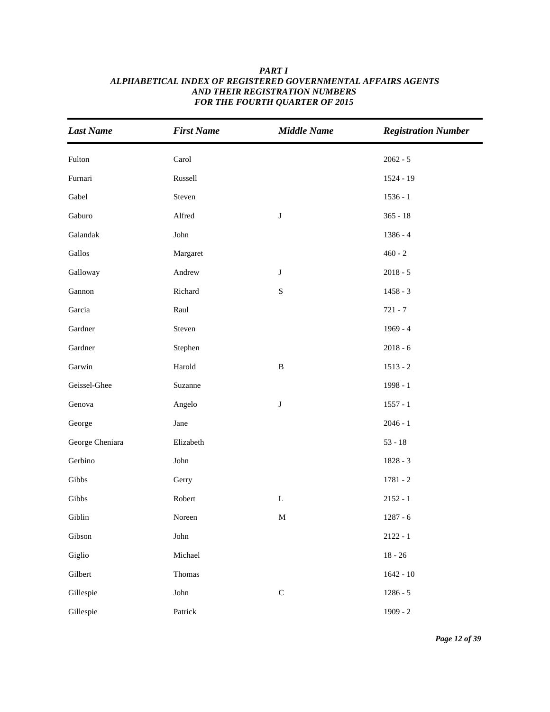| <b>Last Name</b> | <b>First Name</b> | <b>Middle Name</b> | <b>Registration Number</b> |
|------------------|-------------------|--------------------|----------------------------|
| Fulton           | Carol             |                    | $2062 - 5$                 |
| Furnari          | Russell           |                    | $1524 - 19$                |
| Gabel            | Steven            |                    | $1536 - 1$                 |
| Gaburo           | Alfred            | $\bf J$            | $365 - 18$                 |
| Galandak         | John              |                    | $1386 - 4$                 |
| Gallos           | Margaret          |                    | $460 - 2$                  |
| Galloway         | Andrew            | $\bf J$            | $2018 - 5$                 |
| Gannon           | Richard           | $\mathbf S$        | $1458 - 3$                 |
| Garcia           | Raul              |                    | $721 - 7$                  |
| Gardner          | Steven            |                    | $1969 - 4$                 |
| Gardner          | Stephen           |                    | $2018 - 6$                 |
| Garwin           | Harold            | $\, {\bf B}$       | $1513 - 2$                 |
| Geissel-Ghee     | Suzanne           |                    | 1998 - 1                   |
| Genova           | Angelo            | J                  | $1557 - 1$                 |
| George           | Jane              |                    | $2046 - 1$                 |
| George Cheniara  | Elizabeth         |                    | $53 - 18$                  |
| Gerbino          | John              |                    | $1828 - 3$                 |
| Gibbs            | Gerry             |                    | $1781 - 2$                 |
| Gibbs            | Robert            | $\mathbf L$        | $2152 - 1$                 |
| Giblin           | Noreen            | $\mathbf M$        | $1287 - 6$                 |
| Gibson           | ${\rm John}$      |                    | $2122 - 1$                 |
| Giglio           | Michael           |                    | $18 - 26$                  |
| Gilbert          | Thomas            |                    | $1642 - 10$                |
| Gillespie        | ${\rm John}$      | $\mathbf C$        | $1286 - 5$                 |
| Gillespie        | Patrick           |                    | $1909 - 2$                 |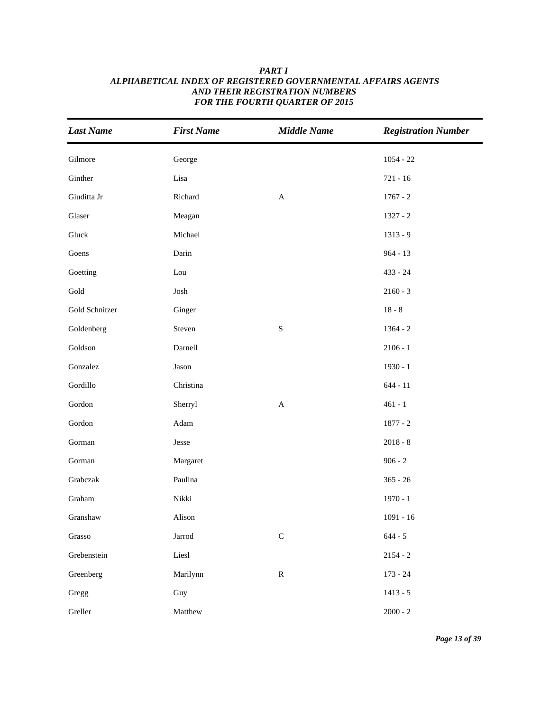| <b>Last Name</b>        | <b>First Name</b> | <b>Middle Name</b> | <b>Registration Number</b> |
|-------------------------|-------------------|--------------------|----------------------------|
| Gilmore                 | George            |                    | $1054 - 22$                |
| Ginther                 | Lisa              |                    | $721 - 16$                 |
| Giuditta Jr             | Richard           | $\mathbf A$        | $1767 - 2$                 |
| Glaser                  | Meagan            |                    | $1327 - 2$                 |
| Gluck                   | Michael           |                    | $1313 - 9$                 |
| Goens                   | Darin             |                    | $964 - 13$                 |
| Goetting                | Lou               |                    | $433 - 24$                 |
| Gold                    | Josh              |                    | $2160 - 3$                 |
| Gold Schnitzer          | Ginger            |                    | $18 - 8$                   |
| Goldenberg              | Steven            | ${\bf S}$          | $1364 - 2$                 |
| Goldson                 | Darnell           |                    | $2106 - 1$                 |
| Gonzalez                | Jason             |                    | $1930 - 1$                 |
| Gordillo                | Christina         |                    | $644 - 11$                 |
| Gordon                  | Sherryl           | $\mathbf{A}$       | $461 - 1$                  |
| $\operatorname{Gordon}$ | Adam              |                    | $1877 - 2$                 |
| Gorman                  | Jesse             |                    | $2018 - 8$                 |
| Gorman                  | Margaret          |                    | $906 - 2$                  |
| Grabczak                | Paulina           |                    | $365 - 26$                 |
| Graham                  | Nikki             |                    | $1970 - 1$                 |
| Granshaw                | Alison            |                    | $1091 - 16$                |
| Grasso                  | Jarrod            | ${\bf C}$          | $644 - 5$                  |
| Grebenstein             | Liesl             |                    | $2154 - 2$                 |
| Greenberg               | Marilynn          | ${\bf R}$          | $173 - 24$                 |
| Gregg                   | Guy               |                    | $1413 - 5$                 |
| Greller                 | Matthew           |                    | $2000 - 2$                 |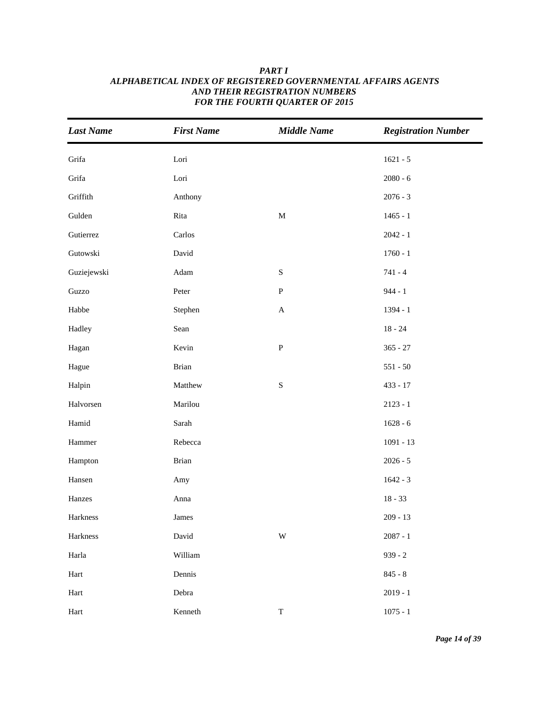| <b>Last Name</b>        | <b>First Name</b> | <b>Middle Name</b>      | <b>Registration Number</b> |
|-------------------------|-------------------|-------------------------|----------------------------|
| Grifa                   | Lori              |                         | $1621 - 5$                 |
| Grifa                   | Lori              |                         | $2080 - 6$                 |
| Griffith                | Anthony           |                         | $2076 - 3$                 |
| Gulden                  | Rita              | $\mathbf M$             | $1465 - 1$                 |
| Gutierrez               | Carlos            |                         | $2042 - 1$                 |
| Gutowski                | David             |                         | $1760 - 1$                 |
| Guziejewski             | Adam              | $\mathbf S$             | $741 - 4$                  |
| Guzzo                   | Peter             | ${\bf P}$               | $944 - 1$                  |
| Habbe                   | Stephen           | $\mathbf A$             | 1394 - 1                   |
| Hadley                  | Sean              |                         | $18 - 24$                  |
| Hagan                   | Kevin             | ${\bf P}$               | $365 - 27$                 |
| Hague                   | <b>Brian</b>      |                         | $551 - 50$                 |
| Halpin                  | Matthew           | ${\bf S}$               | $433 - 17$                 |
| Halvorsen               | Marilou           |                         | $2123 - 1$                 |
| Hamid                   | Sarah             |                         | $1628 - 6$                 |
| $\operatorname{Hammer}$ | Rebecca           |                         | $1091 - 13$                |
| Hampton                 | <b>Brian</b>      |                         | $2026 - 5$                 |
| Hansen                  | Amy               |                         | $1642 - 3$                 |
| Hanzes                  | Anna              |                         | $18 - 33$                  |
| Harkness                | James             |                         | $209 - 13$                 |
| Harkness                | David             | $\ensuremath{\text{W}}$ | $2087 - 1$                 |
| Harla                   | William           |                         | $939 - 2$                  |
| Hart                    | Dennis            |                         | $845 - 8$                  |
| Hart                    | Debra             |                         | $2019 - 1$                 |
| $\operatorname{Hart}$   | Kenneth           | $\mathbf T$             | $1075 - 1$                 |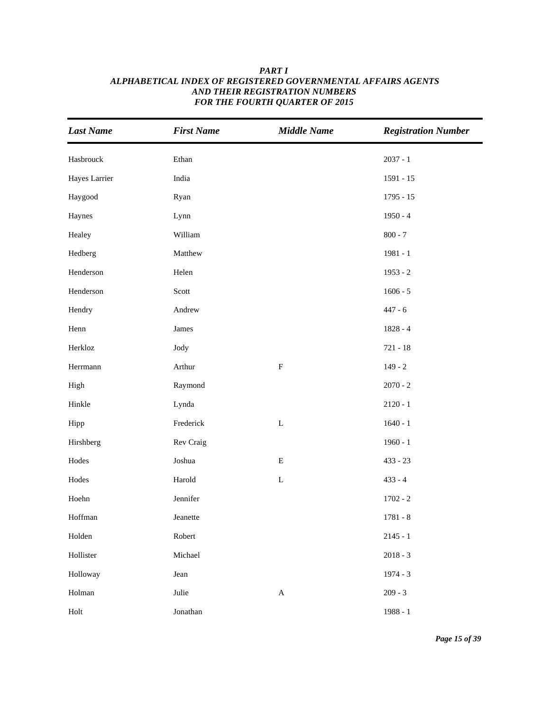| <b>Last Name</b> | <b>First Name</b> | <b>Middle Name</b> | <b>Registration Number</b> |
|------------------|-------------------|--------------------|----------------------------|
| Hasbrouck        | Ethan             |                    | $2037 - 1$                 |
| Hayes Larrier    | India             |                    | $1591 - 15$                |
| Haygood          | Ryan              |                    | $1795 - 15$                |
| Haynes           | Lynn              |                    | $1950 - 4$                 |
| Healey           | William           |                    | $800 - 7$                  |
| Hedberg          | Matthew           |                    | $1981 - 1$                 |
| Henderson        | Helen             |                    | $1953 - 2$                 |
| Henderson        | Scott             |                    | $1606 - 5$                 |
| Hendry           | Andrew            |                    | $447 - 6$                  |
| Henn             | James             |                    | $1828 - 4$                 |
| Herkloz          | Jody              |                    | $721 - 18$                 |
| Herrmann         | Arthur            | ${\bf F}$          | $149 - 2$                  |
| High             | Raymond           |                    | $2070 - 2$                 |
| Hinkle           | Lynda             |                    | $2120 - 1$                 |
| Hipp             | Frederick         | $\mathbf L$        | $1640 - 1$                 |
| Hirshberg        | Rev Craig         |                    | $1960 - 1$                 |
| Hodes            | Joshua            | ${\bf E}$          | $433 - 23$                 |
| Hodes            | Harold            | $\mathbf L$        | $433 - 4$                  |
| Hoehn            | Jennifer          |                    | $1702 - 2$                 |
| Hoffman          | Jeanette          |                    | $1781 - 8$                 |
| Holden           | Robert            |                    | $2145 - 1$                 |
| Hollister        | Michael           |                    | $2018 - 3$                 |
| Holloway         | Jean              |                    | $1974 - 3$                 |
| Holman           | Julie             | $\mathbf A$        | $209 - 3$                  |
| Holt             | Jonathan          |                    | $1988 - 1$                 |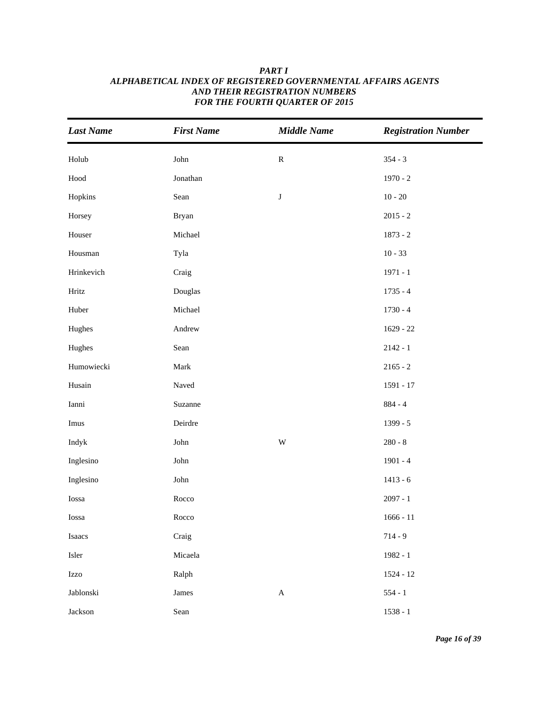| <b>Last Name</b>                                                                                      | <b>First Name</b> | <b>Middle Name</b>        | <b>Registration Number</b> |
|-------------------------------------------------------------------------------------------------------|-------------------|---------------------------|----------------------------|
| Holub                                                                                                 | John              | ${\bf R}$                 | $354 - 3$                  |
| $\operatorname*{Hood}% \left( \mathcal{M}\right) \equiv\operatorname*{Hood}\left( \mathcal{M}\right)$ | Jonathan          |                           | $1970 - 2$                 |
| Hopkins                                                                                               | Sean              | $\bf J$                   | $10 - 20$                  |
| Horsey                                                                                                | <b>Bryan</b>      |                           | $2015 - 2$                 |
| Houser                                                                                                | Michael           |                           | $1873 - 2$                 |
| Housman                                                                                               | Tyla              |                           | $10 - 33$                  |
| Hrinkevich                                                                                            | Craig             |                           | $1971 - 1$                 |
| Hritz                                                                                                 | Douglas           |                           | $1735 - 4$                 |
| Huber                                                                                                 | Michael           |                           | $1730 - 4$                 |
| Hughes                                                                                                | Andrew            |                           | $1629 - 22$                |
| Hughes                                                                                                | Sean              |                           | $2142 - 1$                 |
| Humowiecki                                                                                            | Mark              |                           | $2165 - 2$                 |
| Husain                                                                                                | Naved             |                           | 1591 - 17                  |
| Ianni                                                                                                 | Suzanne           |                           | $884 - 4$                  |
| Imus                                                                                                  | Deirdre           |                           | 1399 - 5                   |
| Indyk                                                                                                 | John              | $\ensuremath{\text{W}}$   | $280 - 8$                  |
| Inglesino                                                                                             | John              |                           | $1901 - 4$                 |
| Inglesino                                                                                             | John              |                           | $1413 - 6$                 |
| Iossa                                                                                                 | Rocco             |                           | $2097 - 1$                 |
| Iossa                                                                                                 | Rocco             |                           | $1666 - 11$                |
| Isaacs                                                                                                | Craig             |                           | $714 - 9$                  |
| Isler                                                                                                 | Micaela           |                           | 1982 - 1                   |
| Izzo                                                                                                  | Ralph             |                           | 1524 - 12                  |
| Jablonski                                                                                             | James             | $\boldsymbol{\mathsf{A}}$ | $554 - 1$                  |
| Jackson                                                                                               | Sean              |                           | $1538 - 1$                 |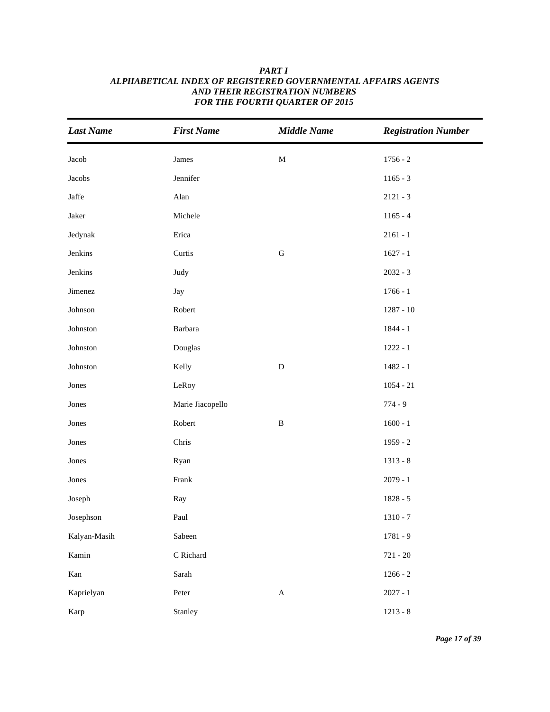| <b>Last Name</b>       | <b>First Name</b> | <b>Middle Name</b> | <b>Registration Number</b> |
|------------------------|-------------------|--------------------|----------------------------|
| Jacob                  | James             | $\mathbf M$        | $1756 - 2$                 |
| Jacobs                 | Jennifer          |                    | $1165 - 3$                 |
| $\operatorname{Jaffe}$ | Alan              |                    | $2121 - 3$                 |
| Jaker                  | Michele           |                    | $1165 - 4$                 |
| Jedynak                | Erica             |                    | $2161 - 1$                 |
| Jenkins                | Curtis            | ${\bf G}$          | $1627 - 1$                 |
| Jenkins                | Judy              |                    | $2032 - 3$                 |
| Jimenez                | Jay               |                    | $1766 - 1$                 |
| Johnson                | Robert            |                    | $1287 - 10$                |
| Johnston               | Barbara           |                    | $1844 - 1$                 |
| ${\rm Johnston}$       | Douglas           |                    | $1222 - 1$                 |
| Johnston               | Kelly             | ${\bf D}$          | $1482 - 1$                 |
| Jones                  | LeRoy             |                    | $1054 - 21$                |
| Jones                  | Marie Jiacopello  |                    | $774 - 9$                  |
| Jones                  | Robert            | $\, {\bf B}$       | $1600 - 1$                 |
| Jones                  | Chris             |                    | $1959 - 2$                 |
| Jones                  | Ryan              |                    | $1313 - 8$                 |
| Jones                  | Frank             |                    | $2079 - 1$                 |
| Joseph                 | Ray               |                    | $1828 - 5$                 |
| Josephson              | Paul              |                    | $1310 - 7$                 |
| Kalyan-Masih           | Sabeen            |                    | $1781 - 9$                 |
| Kamin                  | C Richard         |                    | $721 - 20$                 |
| Kan                    | Sarah             |                    | $1266 - 2$                 |
| Kaprielyan             | Peter             | $\mathbf A$        | $2027 - 1$                 |
| Karp                   | Stanley           |                    | $1213 - 8$                 |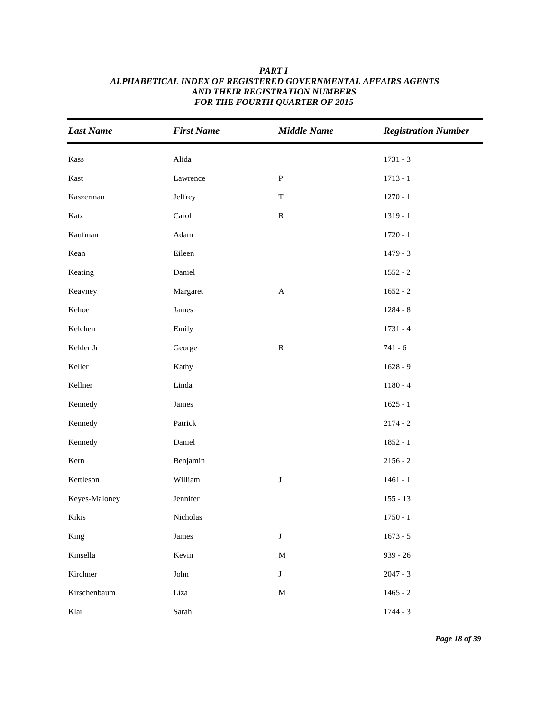| <b>Last Name</b> | <b>First Name</b> | <b>Middle Name</b> | <b>Registration Number</b> |
|------------------|-------------------|--------------------|----------------------------|
| Kass             | Alida             |                    | $1731 - 3$                 |
| Kast             | Lawrence          | ${\bf P}$          | $1713 - 1$                 |
| Kaszerman        | Jeffrey           | $\mathbf T$        | $1270 - 1$                 |
| Katz             | Carol             | ${\bf R}$          | $1319 - 1$                 |
| Kaufman          | Adam              |                    | $1720 - 1$                 |
| Kean             | Eileen            |                    | $1479 - 3$                 |
| Keating          | Daniel            |                    | $1552 - 2$                 |
| Keavney          | Margaret          | $\mathbf A$        | $1652 - 2$                 |
| Kehoe            | James             |                    | $1284 - 8$                 |
| Kelchen          | Emily             |                    | $1731 - 4$                 |
| Kelder Jr        | George            | ${\bf R}$          | $741 - 6$                  |
| Keller           | Kathy             |                    | $1628 - 9$                 |
| Kellner          | Linda             |                    | $1180 - 4$                 |
| Kennedy          | James             |                    | $1625 - 1$                 |
| Kennedy          | Patrick           |                    | $2174 - 2$                 |
| Kennedy          | Daniel            |                    | $1852 - 1$                 |
| Kern             | Benjamin          |                    | $2156 - 2$                 |
| Kettleson        | William           | $\bf J$            | $1461 - 1$                 |
| Keyes-Maloney    | Jennifer          |                    | $155 - 13$                 |
| Kikis            | Nicholas          |                    | $1750 - 1$                 |
| King             | James             | $\mathbf J$        | $1673 - 5$                 |
| Kinsella         | Kevin             | $\mathbf M$        | $939 - 26$                 |
| Kirchner         | John              | $\mathbf J$        | $2047 - 3$                 |
| Kirschenbaum     | Liza              | $\mathbf M$        | $1465 - 2$                 |
| Klar             | Sarah             |                    | $1744 - 3$                 |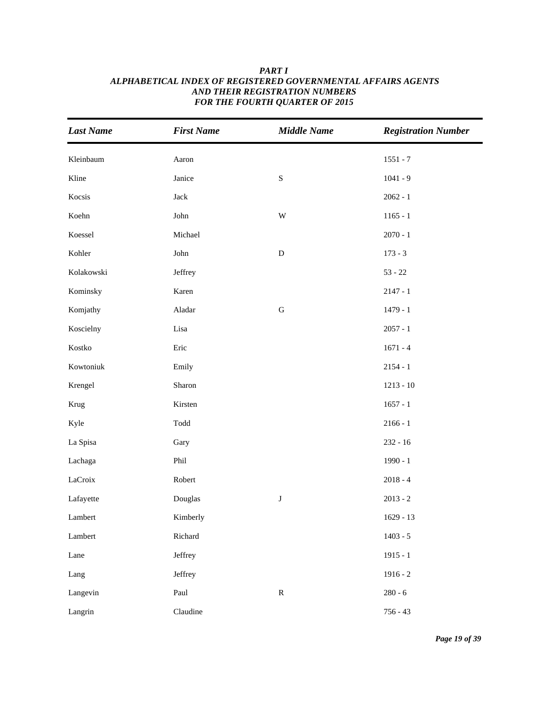| <b>Last Name</b>        | <b>First Name</b>     | <b>Middle Name</b> | <b>Registration Number</b> |
|-------------------------|-----------------------|--------------------|----------------------------|
| Kleinbaum               | Aaron                 |                    | $1551 - 7$                 |
| Kline                   | Janice                | $\mathbf S$        | $1041 - 9$                 |
| Kocsis                  | $\rm Jack$            |                    | $2062 - 1$                 |
| Koehn                   | John                  | W                  | $1165 - 1$                 |
| Koessel                 | Michael               |                    | $2070 - 1$                 |
| Kohler                  | ${\rm John}$          | ${\bf D}$          | $173 - 3$                  |
| Kolakowski              | Jeffrey               |                    | $53 - 22$                  |
| Kominsky                | Karen                 |                    | $2147 - 1$                 |
| Komjathy                | Aladar                | ${\bf G}$          | $1479 - 1$                 |
| Koscielny               | Lisa                  |                    | $2057 - 1$                 |
| $\operatorname{Kostko}$ | Eric                  |                    | $1671 - 4$                 |
| Kowtoniuk               | Emily                 |                    | $2154 - 1$                 |
| Krengel                 | Sharon                |                    | $1213 - 10$                |
| Krug                    | Kirsten               |                    | $1657 - 1$                 |
| Kyle                    | $\operatorname{Todd}$ |                    | $2166 - 1$                 |
| La Spisa                | Gary                  |                    | $232 - 16$                 |
| Lachaga                 | Phil                  |                    | $1990 - 1$                 |
| LaCroix                 | Robert                |                    | $2018 - 4$                 |
| Lafayette               | Douglas               | $\bf J$            | $2013 - 2$                 |
| Lambert                 | Kimberly              |                    | $1629 - 13$                |
| Lambert                 | Richard               |                    | $1403 - 5$                 |
| Lane                    | Jeffrey               |                    | $1915 - 1$                 |
| Lang                    | Jeffrey               |                    | $1916 - 2$                 |
| Langevin                | Paul                  | ${\bf R}$          | $280 - 6$                  |
| Langrin                 | Claudine              |                    | $756 - 43$                 |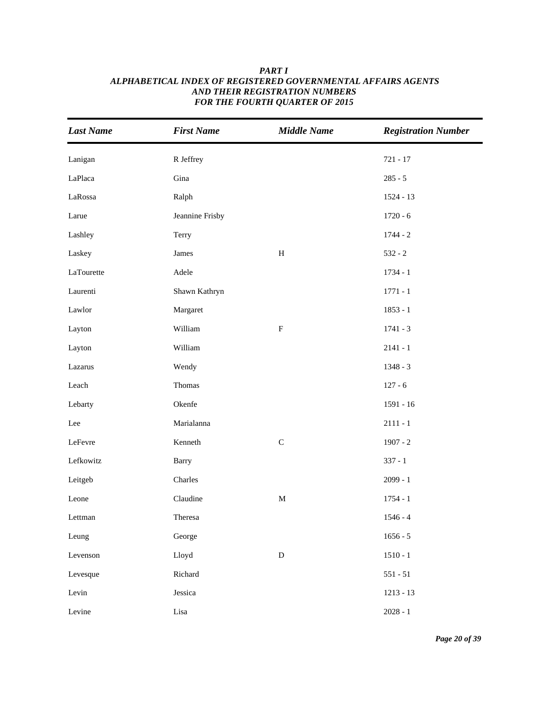| <b>Last Name</b> | <b>First Name</b> | <b>Middle Name</b>        | <b>Registration Number</b> |
|------------------|-------------------|---------------------------|----------------------------|
| Lanigan          | R Jeffrey         |                           | $721 - 17$                 |
| LaPlaca          | Gina              |                           | $285 - 5$                  |
| LaRossa          | Ralph             |                           | 1524 - 13                  |
| Larue            | Jeannine Frisby   |                           | $1720 - 6$                 |
| Lashley          | Terry             |                           | $1744 - 2$                 |
| Laskey           | James             | $\, {\rm H}$              | $532 - 2$                  |
| LaTourette       | Adele             |                           | $1734 - 1$                 |
| Laurenti         | Shawn Kathryn     |                           | $1771 - 1$                 |
| Lawlor           | Margaret          |                           | $1853 - 1$                 |
| Layton           | William           | $\boldsymbol{\mathrm{F}}$ | $1741 - 3$                 |
| Layton           | William           |                           | $2141 - 1$                 |
| Lazarus          | Wendy             |                           | 1348 - 3                   |
| Leach            | Thomas            |                           | $127 - 6$                  |
| Lebarty          | Okenfe            |                           | $1591 - 16$                |
| Lee              | Marialanna        |                           | $2111 - 1$                 |
| LeFevre          | Kenneth           | $\mathsf C$               | $1907 - 2$                 |
| Lefkowitz        | <b>Barry</b>      |                           | $337 - 1$                  |
| Leitgeb          | Charles           |                           | $2099 - 1$                 |
| Leone            | Claudine          | $\mathbf M$               | $1754 - 1$                 |
| Lettman          | Theresa           |                           | $1546 - 4$                 |
| Leung            | George            |                           | $1656 - 5$                 |
| Levenson         | Lloyd             | ${\bf D}$                 | $1510 - 1$                 |
| Levesque         | Richard           |                           | $551 - 51$                 |
| Levin            | Jessica           |                           | $1213 - 13$                |
| Levine           | $\rm Lisa$        |                           | $2028 - 1$                 |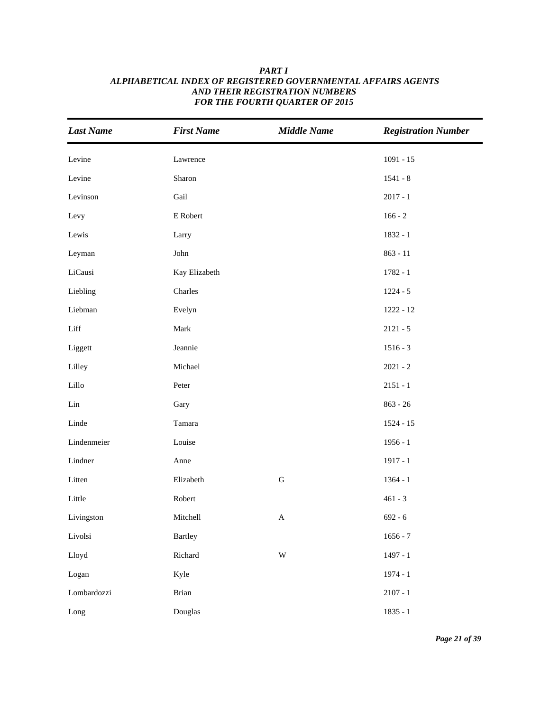| <b>Last Name</b> | <b>First Name</b> | <b>Middle Name</b>        | <b>Registration Number</b> |
|------------------|-------------------|---------------------------|----------------------------|
| Levine           | Lawrence          |                           | $1091 - 15$                |
| Levine           | Sharon            |                           | $1541 - 8$                 |
| Levinson         | Gail              |                           | $2017 - 1$                 |
| Levy             | ${\sf E}$ Robert  |                           | $166 - 2$                  |
| Lewis            | Larry             |                           | 1832 - 1                   |
| Leyman           | John              |                           | $863 - 11$                 |
| LiCausi          | Kay Elizabeth     |                           | $1782 - 1$                 |
| Liebling         | Charles           |                           | $1224 - 5$                 |
| Liebman          | Evelyn            |                           | $1222 - 12$                |
| Liff             | Mark              |                           | $2121 - 5$                 |
| Liggett          | Jeannie           |                           | $1516 - 3$                 |
| Lilley           | Michael           |                           | $2021 - 2$                 |
| Lillo            | Peter             |                           | $2151 - 1$                 |
| Lin              | Gary              |                           | $863 - 26$                 |
| Linde            | Tamara            |                           | $1524 - 15$                |
| Lindenmeier      | Louise            |                           | $1956 - 1$                 |
| Lindner          | Anne              |                           | $1917 - 1$                 |
| Litten           | Elizabeth         | ${\bf G}$                 | $1364 - 1$                 |
| Little           | Robert            |                           | $461 - 3$                  |
| Livingston       | Mitchell          | $\boldsymbol{\mathsf{A}}$ | $692 - 6$                  |
| Livolsi          | <b>Bartley</b>    |                           | $1656 - 7$                 |
| Lloyd            | Richard           | $\ensuremath{\text{W}}$   | $1497 - 1$                 |
| Logan            | Kyle              |                           | $1974 - 1$                 |
| Lombardozzi      | <b>Brian</b>      |                           | $2107 - 1$                 |
| Long             | Douglas           |                           | $1835 - 1$                 |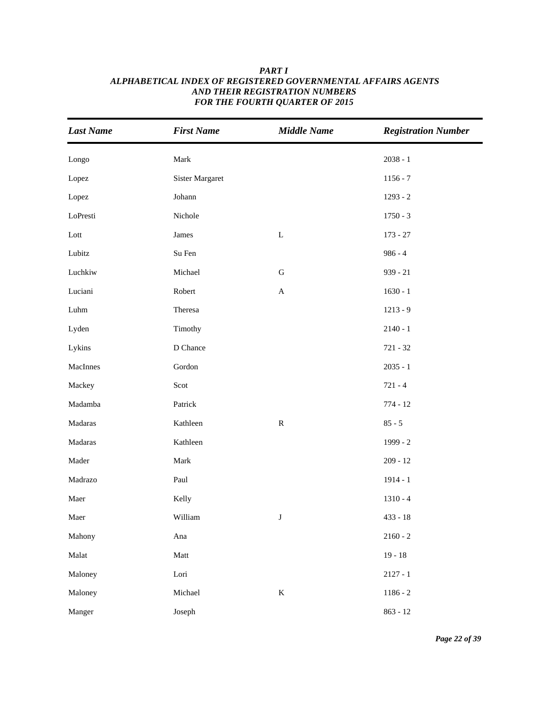| <b>Last Name</b> | <b>First Name</b>      | <b>Middle Name</b>        | <b>Registration Number</b> |
|------------------|------------------------|---------------------------|----------------------------|
| Longo            | Mark                   |                           | $2038 - 1$                 |
| Lopez            | <b>Sister Margaret</b> |                           | $1156 - 7$                 |
| Lopez            | Johann                 |                           | $1293 - 2$                 |
| LoPresti         | Nichole                |                           | $1750 - 3$                 |
| Lott             | James                  | $\mathbf L$               | $173 - 27$                 |
| Lubitz           | Su Fen                 |                           | $986 - 4$                  |
| Luchkiw          | Michael                | $\mathsf G$               | $939 - 21$                 |
| Luciani          | Robert                 | $\boldsymbol{\mathsf{A}}$ | $1630 - 1$                 |
| ${\rm Luhn}$     | Theresa                |                           | $1213 - 9$                 |
| Lyden            | Timothy                |                           | $2140 - 1$                 |
| Lykins           | D Chance               |                           | $721 - 32$                 |
| MacInnes         | Gordon                 |                           | $2035 - 1$                 |
| Mackey           | Scot                   |                           | $721 - 4$                  |
| Madamba          | Patrick                |                           | $774 - 12$                 |
| Madaras          | Kathleen               | ${\bf R}$                 | $85 - 5$                   |
| Madaras          | Kathleen               |                           | $1999 - 2$                 |
| Mader            | Mark                   |                           | $209 - 12$                 |
| Madrazo          | Paul                   |                           | $1914 - 1$                 |
| Maer             | Kelly                  |                           | $1310 - 4$                 |
| Maer             | William                | $\bf J$                   | $433 - 18$                 |
| Mahony           | Ana                    |                           | $2160 - 2$                 |
| Malat            | $\operatorname{Matt}$  |                           | $19 - 18$                  |
| Maloney          | Lori                   |                           | $2127 - 1$                 |
| Maloney          | Michael                | $\bf K$                   | $1186 - 2$                 |
| Manger           | Joseph                 |                           | $863 - 12$                 |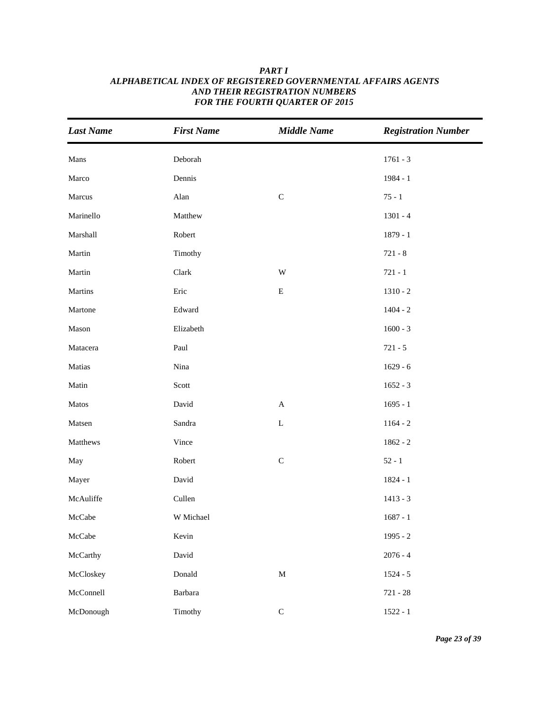| <b>Last Name</b> | <b>First Name</b> | <b>Middle Name</b>        | <b>Registration Number</b> |
|------------------|-------------------|---------------------------|----------------------------|
| Mans             | Deborah           |                           | $1761 - 3$                 |
| Marco            | Dennis            |                           | $1984 - 1$                 |
| Marcus           | Alan              | ${\bf C}$                 | $75 - 1$                   |
| Marinello        | Matthew           |                           | $1301 - 4$                 |
| Marshall         | Robert            |                           | $1879 - 1$                 |
| Martin           | Timothy           |                           | $721 - 8$                  |
| Martin           | Clark             | $\ensuremath{\text{W}}$   | $721 - 1$                  |
| Martins          | Eric              | ${\bf E}$                 | $1310 - 2$                 |
| Martone          | Edward            |                           | $1404 - 2$                 |
| Mason            | Elizabeth         |                           | $1600 - 3$                 |
| Matacera         | Paul              |                           | $721 - 5$                  |
| Matias           | Nina              |                           | $1629 - 6$                 |
| Matin            | Scott             |                           | $1652 - 3$                 |
| Matos            | David             | $\boldsymbol{\mathsf{A}}$ | $1695 - 1$                 |
| Matsen           | Sandra            | $\mathbf L$               | $1164 - 2$                 |
| Matthews         | Vince             |                           | $1862 - 2$                 |
| May              | Robert            | $\mathbf C$               | $52 - 1$                   |
| Mayer            | David             |                           | $1824 - 1$                 |
| McAuliffe        | Cullen            |                           | $1413 - 3$                 |
| McCabe           | W Michael         |                           | $1687 - 1$                 |
| McCabe           | Kevin             |                           | $1995 - 2$                 |
| McCarthy         | David             |                           | $2076 - 4$                 |
| McCloskey        | Donald            | $\mathbf M$               | $1524 - 5$                 |
| McConnell        | Barbara           |                           | $721 - 28$                 |
| McDonough        | Timothy           | $\mathsf C$               | $1522 - 1$                 |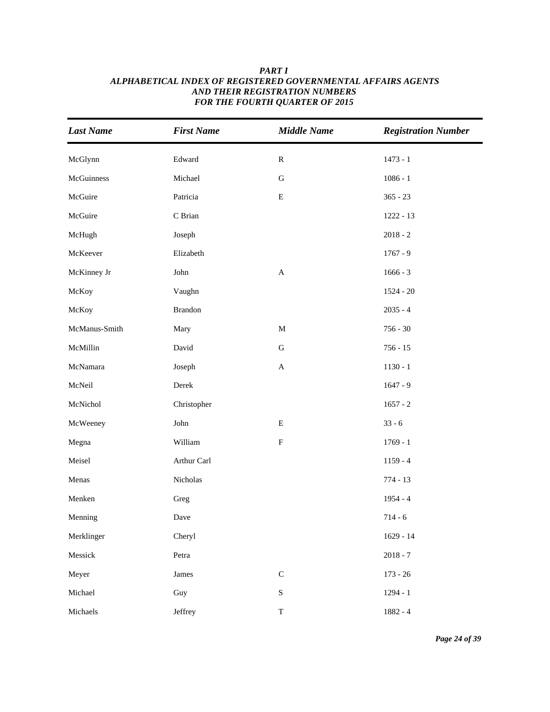| <b>Last Name</b> | <b>First Name</b> | <b>Middle Name</b>        | <b>Registration Number</b> |
|------------------|-------------------|---------------------------|----------------------------|
| McGlynn          | Edward            | ${\bf R}$                 | $1473 - 1$                 |
| McGuinness       | Michael           | ${\bf G}$                 | $1086 - 1$                 |
| McGuire          | Patricia          | ${\bf E}$                 | $365 - 23$                 |
| McGuire          | C Brian           |                           | $1222 - 13$                |
| McHugh           | Joseph            |                           | $2018 - 2$                 |
| McKeever         | Elizabeth         |                           | $1767 - 9$                 |
| McKinney Jr      | John              | $\mathbf{A}$              | $1666 - 3$                 |
| McKoy            | Vaughn            |                           | $1524 - 20$                |
| McKoy            | Brandon           |                           | $2035 - 4$                 |
| McManus-Smith    | Mary              | $\mathbf M$               | $756 - 30$                 |
| McMillin         | David             | ${\bf G}$                 | $756 - 15$                 |
| McNamara         | Joseph            | $\mathbf A$               | $1130 - 1$                 |
| McNeil           | Derek             |                           | $1647 - 9$                 |
| McNichol         | Christopher       |                           | $1657 - 2$                 |
| McWeeney         | John              | $\mathbf E$               | $33 - 6$                   |
| Megna            | William           | $\boldsymbol{\mathrm{F}}$ | $1769 - 1$                 |
| Meisel           | Arthur Carl       |                           | $1159 - 4$                 |
| Menas            | Nicholas          |                           | $774 - 13$                 |
| Menken           | Greg              |                           | $1954 - 4$                 |
| Menning          | Dave              |                           | $714 - 6$                  |
| Merklinger       | Cheryl            |                           | $1629 - 14$                |
| Messick          | Petra             |                           | $2018 - 7$                 |
| Meyer            | James             | $\mathsf C$               | $173 - 26$                 |
| Michael          | Guy               | ${\bf S}$                 | $1294 - 1$                 |
| Michaels         | Jeffrey           | $\mathbf T$               | 1882 - 4                   |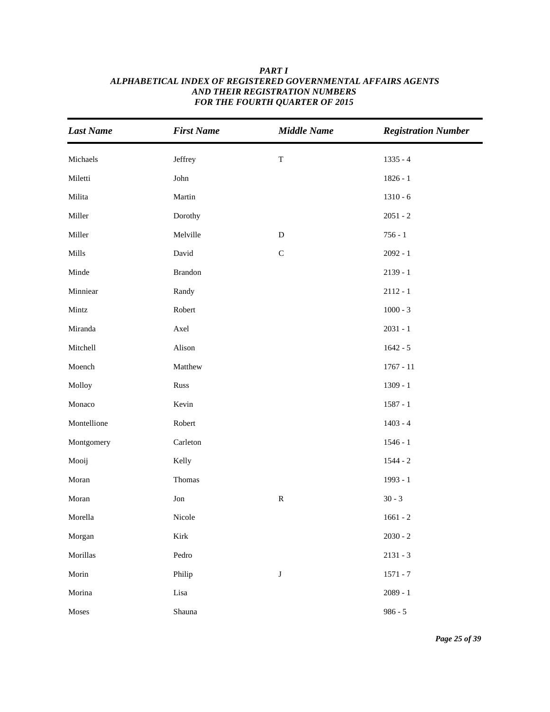| <b>Last Name</b> | <b>First Name</b>     | <b>Middle Name</b> | <b>Registration Number</b> |
|------------------|-----------------------|--------------------|----------------------------|
| Michaels         | Jeffrey               | $\mathbf T$        | $1335 - 4$                 |
| Miletti          | ${\rm John}$          |                    | $1826 - 1$                 |
| Milita           | Martin                |                    | $1310 - 6$                 |
| Miller           | Dorothy               |                    | $2051 - 2$                 |
| Miller           | Melville              | ${\bf D}$          | $756 - 1$                  |
| Mills            | David                 | $\mathsf C$        | $2092 - 1$                 |
| Minde            | Brandon               |                    | $2139 - 1$                 |
| Minniear         | Randy                 |                    | $2112 - 1$                 |
| Mintz            | Robert                |                    | $1000 - 3$                 |
| Miranda          | Axel                  |                    | $2031 - 1$                 |
| Mitchell         | Alison                |                    | $1642 - 5$                 |
| Moench           | Matthew               |                    | $1767 - 11$                |
| Molloy           | Russ                  |                    | $1309 - 1$                 |
| Monaco           | Kevin                 |                    | $1587 - 1$                 |
| Montellione      | Robert                |                    | $1403 - 4$                 |
| Montgomery       | Carleton              |                    | $1546 - 1$                 |
| Mooij            | Kelly                 |                    | $1544 - 2$                 |
| Moran            | Thomas                |                    | $1993 - 1$                 |
| Moran            | Jon                   | ${\bf R}$          | $30 - 3$                   |
| Morella          | Nicole                |                    | $1661 - 2$                 |
| Morgan           | $\operatorname{Kirk}$ |                    | $2030 - 2$                 |
| Morillas         | Pedro                 |                    | $2131 - 3$                 |
| Morin            | Philip                | $\bf J$            | $1571 - 7$                 |
| Morina           | Lisa                  |                    | $2089 - 1$                 |
| Moses            | Shauna                |                    | $986 - 5$                  |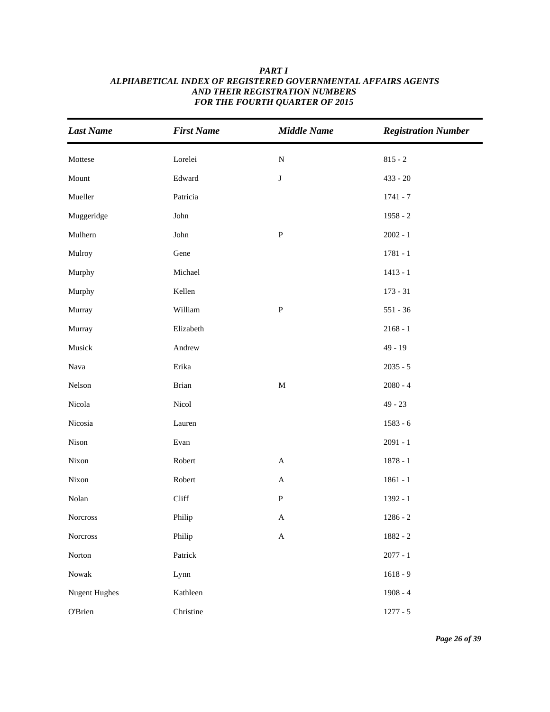# **Last Name** First Name Middle Name Registration Number *ALPHABETICAL INDEX OF REGISTERED GOVERNMENTAL AFFAIRS AGENTS AND THEIR REGISTRATION NUMBERS FOR THE FOURTH QUARTER OF 2015*

*PART I*

|                        |                         |                           | $\mathbf{\sigma}$ |
|------------------------|-------------------------|---------------------------|-------------------|
| Mottese                | Lorelei                 | ${\bf N}$                 | $815 - 2$         |
| Mount                  | $\operatorname{Edward}$ | $\bf J$                   | $433 - 20$        |
| Mueller                | Patricia                |                           | $1741 - 7$        |
| Muggeridge             | John                    |                           | $1958 - 2$        |
| Mulhern                | John                    | ${\bf P}$                 | $2002 - 1$        |
| Mulroy                 | Gene                    |                           | $1781 - 1$        |
| Murphy                 | Michael                 |                           | $1413 - 1$        |
| Murphy                 | Kellen                  |                           | $173 - 31$        |
| Murray                 | William                 | $\, {\bf p}$              | $551 - 36$        |
| Murray                 | Elizabeth               |                           | $2168 - 1$        |
| Musick                 | Andrew                  |                           | $49 - 19$         |
| Nava                   | Erika                   |                           | $2035 - 5$        |
| Nelson                 | <b>Brian</b>            | $\mathbf M$               | $2080 - 4$        |
| Nicola                 | Nicol                   |                           | $49 - 23$         |
| Nicosia                | Lauren                  |                           | $1583 - 6$        |
| Nison                  | Evan                    |                           | $2091 - 1$        |
| Nixon                  | Robert                  | $\boldsymbol{\mathsf{A}}$ | $1878 - 1$        |
| Nixon                  | Robert                  | $\mathbf A$               | $1861 - 1$        |
| Nolan                  | Cliff                   | ${\bf P}$                 | 1392 - 1          |
| Norcross               | Philip                  | $\boldsymbol{\mathsf{A}}$ | $1286 - 2$        |
| Norcross               | Philip                  | A                         | 1882 - 2          |
| Norton                 | Patrick                 |                           | $2077 - 1$        |
| $\operatorname{Nowak}$ | Lynn                    |                           | $1618 - 9$        |
| <b>Nugent Hughes</b>   | Kathleen                |                           | $1908 - 4$        |
| O'Brien                | Christine               |                           | $1277 - 5$        |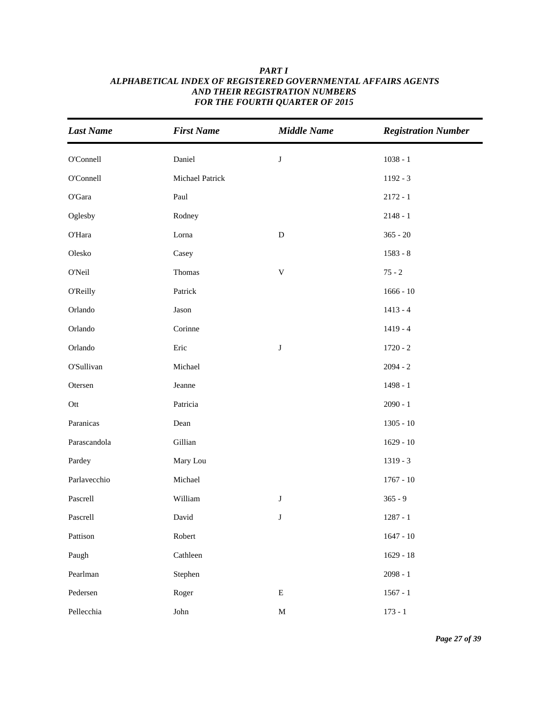| <b>Last Name</b> | <b>First Name</b> | <b>Middle Name</b> | <b>Registration Number</b> |
|------------------|-------------------|--------------------|----------------------------|
| O'Connell        | Daniel            | $\bf J$            | $1038 - 1$                 |
| O'Connell        | Michael Patrick   |                    | $1192 - 3$                 |
| O'Gara           | Paul              |                    | $2172 - 1$                 |
| Oglesby          | Rodney            |                    | $2148 - 1$                 |
| O'Hara           | Lorna             | ${\bf D}$          | $365 - 20$                 |
| Olesko           | Casey             |                    | $1583 - 8$                 |
| O'Neil           | Thomas            | $\mathbf V$        | $75 - 2$                   |
| O'Reilly         | Patrick           |                    | $1666 - 10$                |
| Orlando          | Jason             |                    | $1413 - 4$                 |
| Orlando          | Corinne           |                    | $1419 - 4$                 |
| Orlando          | Eric              | ${\bf J}$          | $1720 - 2$                 |
| O'Sullivan       | Michael           |                    | $2094 - 2$                 |
| Otersen          | Jeanne            |                    | $1498 - 1$                 |
| Ott              | Patricia          |                    | $2090 - 1$                 |
| Paranicas        | Dean              |                    | $1305 - 10$                |
| Parascandola     | Gillian           |                    | $1629 - 10$                |
| Pardey           | Mary Lou          |                    | $1319 - 3$                 |
| Parlavecchio     | Michael           |                    | $1767 - 10$                |
| Pascrell         | William           | $\bf J$            | $365 - 9$                  |
| Pascrell         | David             | $\bf J$            | $1287 - 1$                 |
| Pattison         | Robert            |                    | $1647 - 10$                |
| Paugh            | Cathleen          |                    | $1629 - 18$                |
| Pearlman         | Stephen           |                    | $2098 - 1$                 |
| Pedersen         | Roger             | ${\bf E}$          | $1567 - 1$                 |
| Pellecchia       | ${\rm John}$      | $\mathbf M$        | $173 - 1$                  |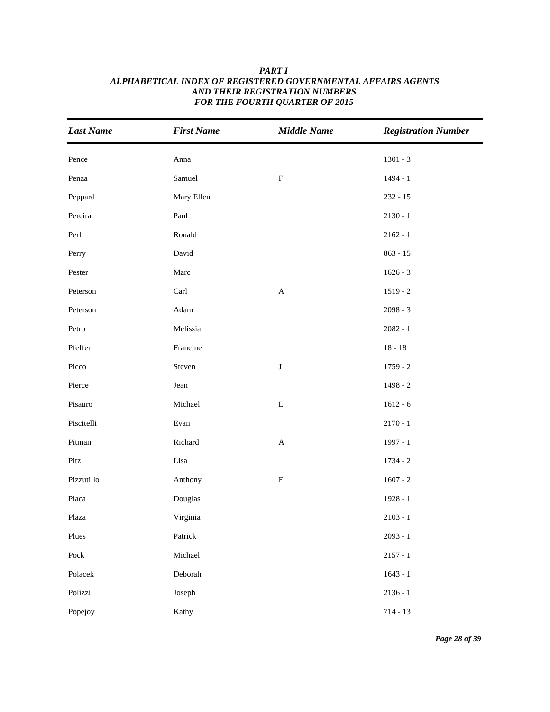| <b>Last Name</b>      | <b>First Name</b> | <b>Middle Name</b>        | <b>Registration Number</b> |
|-----------------------|-------------------|---------------------------|----------------------------|
| Pence                 | Anna              |                           | $1301 - 3$                 |
| Penza                 | Samuel            | $\mathbf F$               | 1494 - 1                   |
| Peppard               | Mary Ellen        |                           | $232 - 15$                 |
| Pereira               | Paul              |                           | $2130 - 1$                 |
| Perl                  | Ronald            |                           | $2162 - 1$                 |
| Perry                 | David             |                           | $863 - 15$                 |
| Pester                | Marc              |                           | $1626 - 3$                 |
| Peterson              | Carl              | $\boldsymbol{\mathsf{A}}$ | $1519 - 2$                 |
| Peterson              | Adam              |                           | $2098 - 3$                 |
| Petro                 | Melissia          |                           | $2082 - 1$                 |
| Pfeffer               | Francine          |                           | $18 - 18$                  |
| Picco                 | Steven            | $\bf J$                   | $1759 - 2$                 |
| Pierce                | Jean              |                           | $1498 - 2$                 |
| Pisauro               | Michael           | $\mathbf L$               | $1612 - 6$                 |
| Piscitelli            | Evan              |                           | $2170 - 1$                 |
| Pitman                | Richard           | $\boldsymbol{\mathsf{A}}$ | 1997 - 1                   |
| Pitz                  | Lisa              |                           | $1734 - 2$                 |
| Pizzutillo            | Anthony           | ${\bf E}$                 | $1607 - 2$                 |
| Placa                 | Douglas           |                           | $1928 - 1$                 |
| Plaza                 | Virginia          |                           | $2103 - 1$                 |
| Plues                 | Patrick           |                           | $2093 - 1$                 |
| ${\rm \textit{Pock}}$ | Michael           |                           | $2157 - 1$                 |
| Polacek               | Deborah           |                           | $1643 - 1$                 |
| Polizzi               | Joseph            |                           | $2136 - 1$                 |
| Popejoy               | Kathy             |                           | $714 - 13$                 |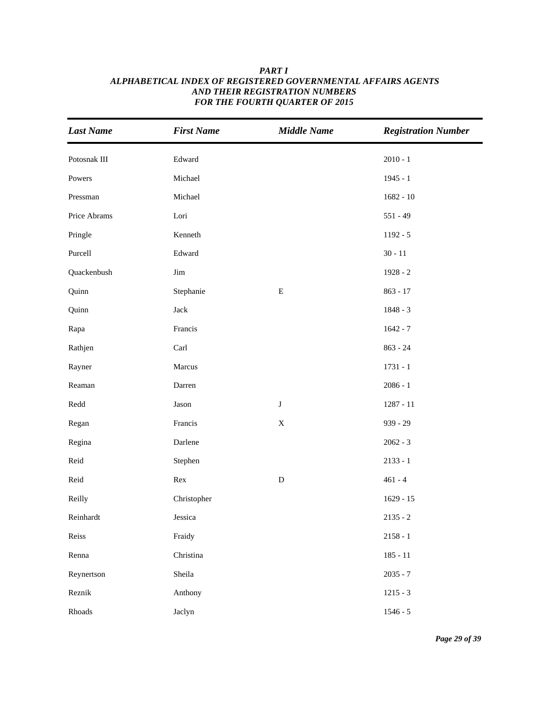| <b>Last Name</b> | <b>First Name</b> | <b>Middle Name</b> | <b>Registration Number</b> |
|------------------|-------------------|--------------------|----------------------------|
| Potosnak III     | Edward            |                    | $2010 - 1$                 |
| Powers           | Michael           |                    | $1945 - 1$                 |
| Pressman         | Michael           |                    | $1682 - 10$                |
| Price Abrams     | Lori              |                    | $551 - 49$                 |
| Pringle          | Kenneth           |                    | $1192 - 5$                 |
| Purcell          | Edward            |                    | $30 - 11$                  |
| Quackenbush      | Jim               |                    | $1928 - 2$                 |
| Quinn            | Stephanie         | ${\bf E}$          | $863 - 17$                 |
| Quinn            | Jack              |                    | $1848 - 3$                 |
| Rapa             | Francis           |                    | $1642 - 7$                 |
| Rathjen          | Carl              |                    | $863 - 24$                 |
| Rayner           | Marcus            |                    | $1731 - 1$                 |
| Reaman           | Darren            |                    | $2086 - 1$                 |
| $\mbox{Redd}$    | Jason             | $\bf J$            | $1287 - 11$                |
| Regan            | Francis           | $\mathbf X$        | $939 - 29$                 |
| Regina           | Darlene           |                    | $2062 - 3$                 |
| Reid             | Stephen           |                    | $2133 - 1$                 |
| Reid             | Rex               | ${\bf D}$          | $461 - 4$                  |
| Reilly           | Christopher       |                    | $1629 - 15$                |
| Reinhardt        | Jessica           |                    | $2135 - 2$                 |
| Reiss            | Fraidy            |                    | $2158 - 1$                 |
| Renna            | Christina         |                    | $185 - 11$                 |
| Reynertson       | Sheila            |                    | $2035 - 7$                 |
| Reznik           | Anthony           |                    | $1215 - 3$                 |
| Rhoads           | Jaclyn            |                    | $1546 - 5$                 |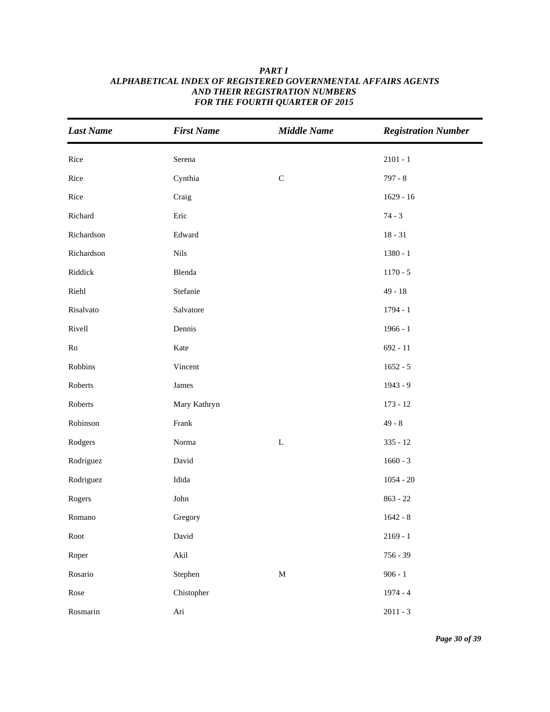| <b>Last Name</b> | <b>First Name</b> | <b>Middle Name</b> | <b>Registration Number</b> |
|------------------|-------------------|--------------------|----------------------------|
| Rice             | Serena            |                    | $2101 - 1$                 |
| Rice             | Cynthia           | $\mathsf C$        | $797 - 8$                  |
| Rice             | Craig             |                    | $1629 - 16$                |
| Richard          | Eric              |                    | $74 - 3$                   |
| Richardson       | Edward            |                    | $18 - 31$                  |
| Richardson       | <b>Nils</b>       |                    | $1380 - 1$                 |
| Riddick          | Blenda            |                    | $1170 - 5$                 |
| Riehl            | Stefanie          |                    | $49 - 18$                  |
| Risalvato        | Salvatore         |                    | $1794 - 1$                 |
| Rivell           | Dennis            |                    | $1966 - 1$                 |
| Ro               | Kate              |                    | $692 - 11$                 |
| Robbins          | Vincent           |                    | $1652 - 5$                 |
| Roberts          | James             |                    | 1943 - 9                   |
| Roberts          | Mary Kathryn      |                    | $173 - 12$                 |
| Robinson         | Frank             |                    | $49 - 8$                   |
| Rodgers          | Norma             | $\mathbf L$        | $335 - 12$                 |
| Rodriguez        | David             |                    | $1660 - 3$                 |
| Rodriguez        | Idida             |                    | $1054 - 20$                |
| Rogers           | John              |                    | $863 - 22$                 |
| Romano           | Gregory           |                    | $1642 - 8$                 |
| Root             | David             |                    | $2169 - 1$                 |
| Roper            | Akil              |                    | $756 - 39$                 |
| Rosario          | Stephen           | $\mathbf M$        | $906 - 1$                  |
| Rose             | Chistopher        |                    | $1974 - 4$                 |
| Rosmarin         | Ari               |                    | $2011 - 3$                 |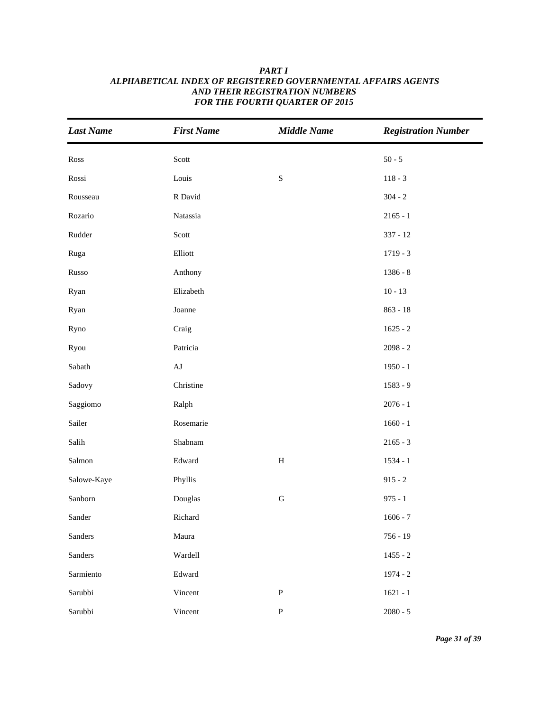| <b>Last Name</b>       | <b>First Name</b> | <b>Middle Name</b> | <b>Registration Number</b> |
|------------------------|-------------------|--------------------|----------------------------|
| Ross                   | Scott             |                    | $50 - 5$                   |
| Rossi                  | Louis             | ${\bf S}$          | $118 - 3$                  |
| Rousseau               | R David           |                    | $304 - 2$                  |
| Rozario                | Natassia          |                    | $2165 - 1$                 |
| Rudder                 | Scott             |                    | $337 - 12$                 |
| Ruga                   | Elliott           |                    | $1719 - 3$                 |
| Russo                  | Anthony           |                    | $1386 - 8$                 |
| Ryan                   | Elizabeth         |                    | $10 - 13$                  |
| Ryan                   | Joanne            |                    | $863 - 18$                 |
| Ryno                   | Craig             |                    | $1625 - 2$                 |
| Ryou                   | Patricia          |                    | $2098 - 2$                 |
| Sabath                 | $\rm{AJ}$         |                    | $1950 - 1$                 |
| Sadovy                 | Christine         |                    | $1583 - 9$                 |
| Saggiomo               | Ralph             |                    | $2076 - 1$                 |
| Sailer                 | Rosemarie         |                    | $1660 - 1$                 |
| $\operatorname{Salih}$ | Shabnam           |                    | $2165 - 3$                 |
| Salmon                 | Edward            | $\, {\bf H}$       | $1534 - 1$                 |
| Salowe-Kaye            | Phyllis           |                    | $915 - 2$                  |
| Sanborn                | Douglas           | ${\bf G}$          | $975 - 1$                  |
| Sander                 | Richard           |                    | $1606 - 7$                 |
| Sanders                | Maura             |                    | $756 - 19$                 |
| Sanders                | Wardell           |                    | $1455 - 2$                 |
| Sarmiento              | Edward            |                    | $1974 - 2$                 |
| Sarubbi                | Vincent           | $\mathbf{P}$       | $1621 - 1$                 |
| Sarubbi                | Vincent           | ${\bf P}$          | $2080 - 5$                 |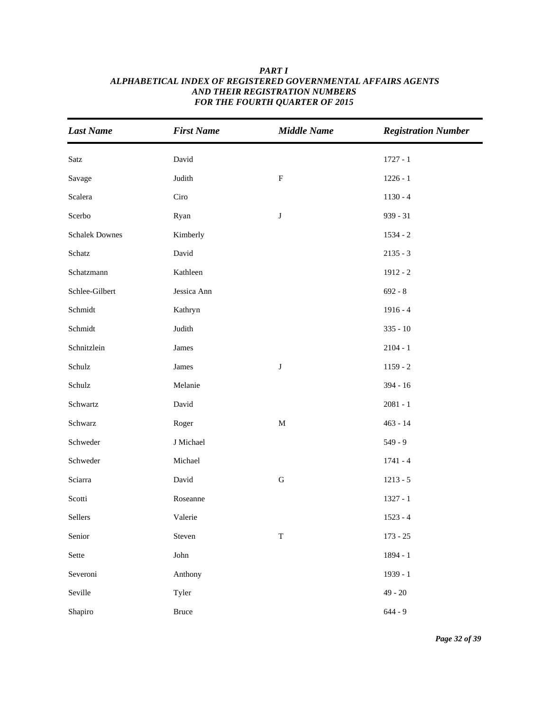| <b>Last Name</b>      | <b>First Name</b> | <b>Middle Name</b> | <b>Registration Number</b> |
|-----------------------|-------------------|--------------------|----------------------------|
| Satz                  | David             |                    | $1727 - 1$                 |
| Savage                | Judith            | ${\bf F}$          | $1226 - 1$                 |
| Scalera               | Ciro              |                    | $1130 - 4$                 |
| Scerbo                | Ryan              | $\bf J$            | $939 - 31$                 |
| <b>Schalek Downes</b> | Kimberly          |                    | $1534 - 2$                 |
| Schatz                | David             |                    | $2135 - 3$                 |
| Schatzmann            | Kathleen          |                    | $1912 - 2$                 |
| Schlee-Gilbert        | Jessica Ann       |                    | $692 - 8$                  |
| Schmidt               | Kathryn           |                    | $1916 - 4$                 |
| Schmidt               | Judith            |                    | $335 - 10$                 |
| Schnitzlein           | James             |                    | $2104 - 1$                 |
| Schulz                | James             | $\bf J$            | $1159 - 2$                 |
| Schulz                | Melanie           |                    | $394 - 16$                 |
| Schwartz              | David             |                    | $2081 - 1$                 |
| Schwarz               | Roger             | $\mathbf M$        | $463 - 14$                 |
| Schweder              | J Michael         |                    | $549 - 9$                  |
| Schweder              | Michael           |                    | $1741 - 4$                 |
| Sciarra               | David             | ${\bf G}$          | $1213 - 5$                 |
| Scotti                | Roseanne          |                    | $1327 - 1$                 |
| Sellers               | Valerie           |                    | $1523 - 4$                 |
| Senior                | Steven            | $\mathbf T$        | $173 - 25$                 |
| Sette                 | John              |                    | 1894 - 1                   |
| Severoni              | Anthony           |                    | 1939 - 1                   |
| Seville               | Tyler             |                    | $49 - 20$                  |
| Shapiro               | Bruce             |                    | $644 - 9$                  |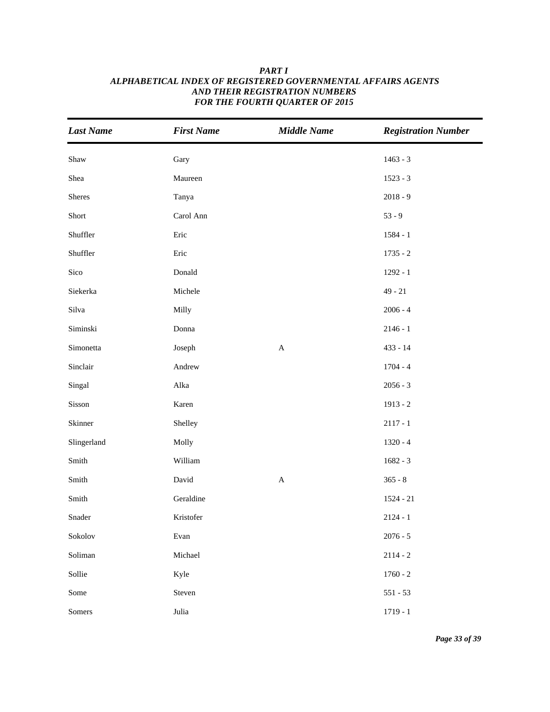| <b>Last Name</b>            | <b>First Name</b> | <b>Middle Name</b>        | <b>Registration Number</b> |
|-----------------------------|-------------------|---------------------------|----------------------------|
| Shaw                        | Gary              |                           | $1463 - 3$                 |
| Shea                        | Maureen           |                           | $1523 - 3$                 |
| Sheres                      | Tanya             |                           | $2018 - 9$                 |
| Short                       | Carol Ann         |                           | $53 - 9$                   |
| Shuffler                    | Eric              |                           | $1584 - 1$                 |
| Shuffler                    | Eric              |                           | $1735 - 2$                 |
| Sico                        | Donald            |                           | $1292 - 1$                 |
| Siekerka                    | Michele           |                           | $49 - 21$                  |
| Silva                       | Milly             |                           | $2006 - 4$                 |
| Siminski                    | Donna             |                           | $2146 - 1$                 |
| Simonetta                   | Joseph            | $\boldsymbol{\mathsf{A}}$ | $433 - 14$                 |
| Sinclair                    | Andrew            |                           | $1704 - 4$                 |
| Singal                      | Alka              |                           | $2056 - 3$                 |
| Sisson                      | Karen             |                           | $1913 - 2$                 |
| Skinner                     | Shelley           |                           | $2117 - 1$                 |
| Slingerland                 | Molly             |                           | $1320 - 4$                 |
| Smith                       | William           |                           | $1682 - 3$                 |
| Smith                       | David             | $\boldsymbol{\mathsf{A}}$ | $365 - 8$                  |
| $\mathop{\hbox{\rm Smith}}$ | Geraldine         |                           | $1524 - 21$                |
| Snader                      | Kristofer         |                           | $2124 - 1$                 |
| Sokolov                     | Evan              |                           | $2076 - 5$                 |
| Soliman                     | Michael           |                           | $2114 - 2$                 |
| Sollie                      | Kyle              |                           | $1760 - 2$                 |
| Some                        | Steven            |                           | $551 - 53$                 |
| Somers                      | Julia             |                           | $1719 - 1$                 |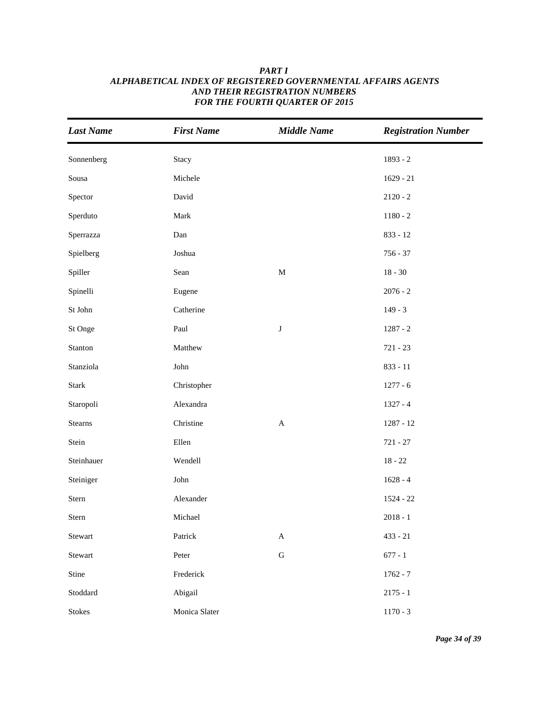| <b>Last Name</b> | <b>First Name</b> | <b>Middle Name</b>        | <b>Registration Number</b> |
|------------------|-------------------|---------------------------|----------------------------|
| Sonnenberg       | Stacy             |                           | $1893 - 2$                 |
| Sousa            | Michele           |                           | $1629 - 21$                |
| Spector          | David             |                           | $2120 - 2$                 |
| Sperduto         | Mark              |                           | $1180 - 2$                 |
| Sperrazza        | Dan               |                           | $833 - 12$                 |
| Spielberg        | Joshua            |                           | $756 - 37$                 |
| Spiller          | Sean              | $\mathbf M$               | $18 - 30$                  |
| Spinelli         | Eugene            |                           | $2076 - 2$                 |
| St John          | Catherine         |                           | $149 - 3$                  |
| St Onge          | Paul              | $\bf J$                   | $1287 - 2$                 |
| Stanton          | Matthew           |                           | $721 - 23$                 |
| Stanziola        | John              |                           | $833 - 11$                 |
| <b>Stark</b>     | Christopher       |                           | $1277 - 6$                 |
| Staropoli        | Alexandra         |                           | $1327 - 4$                 |
| Stearns          | Christine         | $\mathbf{A}$              | $1287 - 12$                |
| Stein            | Ellen             |                           | $721 - 27$                 |
| Steinhauer       | Wendell           |                           | $18 - 22$                  |
| Steiniger        | ${\rm John}$      |                           | $1628 - 4$                 |
| Stern            | Alexander         |                           | $1524 - 22$                |
| Stern            | Michael           |                           | $2018 - 1$                 |
| Stewart          | Patrick           | $\boldsymbol{\mathsf{A}}$ | $433 - 21$                 |
| Stewart          | Peter             | ${\bf G}$                 | $677 - 1$                  |
| Stine            | Frederick         |                           | $1762 - 7$                 |
| Stoddard         | Abigail           |                           | $2175 - 1$                 |
| Stokes           | Monica Slater     |                           | $1170 - 3$                 |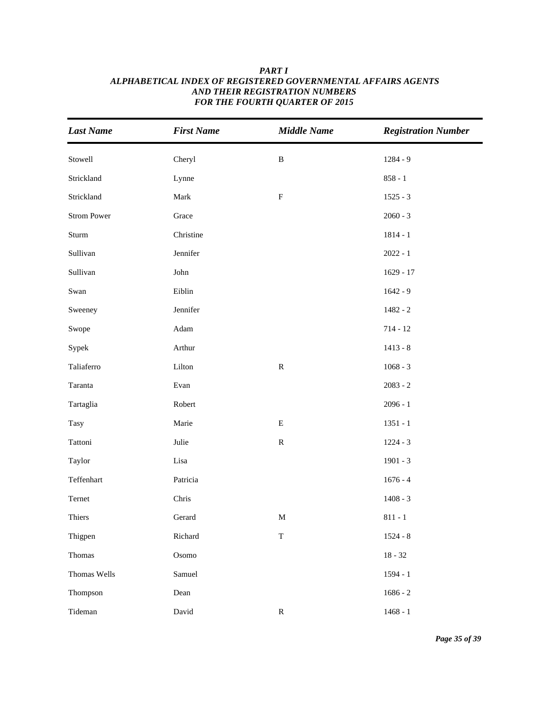| <b>Last Name</b>   | <b>First Name</b> | <b>Middle Name</b> | <b>Registration Number</b> |
|--------------------|-------------------|--------------------|----------------------------|
| Stowell            | Cheryl            | $\, {\bf B}$       | $1284 - 9$                 |
| Strickland         | Lynne             |                    | $858 - 1$                  |
| Strickland         | Mark              | ${\bf F}$          | $1525 - 3$                 |
| <b>Strom Power</b> | Grace             |                    | $2060 - 3$                 |
| Sturm              | Christine         |                    | $1814 - 1$                 |
| Sullivan           | Jennifer          |                    | $2022 - 1$                 |
| Sullivan           | ${\rm John}$      |                    | $1629 - 17$                |
| Swan               | Eiblin            |                    | $1642 - 9$                 |
| Sweeney            | Jennifer          |                    | $1482 - 2$                 |
| Swope              | Adam              |                    | $714 - 12$                 |
| Sypek              | Arthur            |                    | $1413 - 8$                 |
| Taliaferro         | Lilton            | ${\bf R}$          | $1068 - 3$                 |
| Taranta            | Evan              |                    | $2083 - 2$                 |
| Tartaglia          | Robert            |                    | $2096 - 1$                 |
| <b>Tasy</b>        | Marie             | $\mathbf E$        | $1351 - 1$                 |
| Tattoni            | Julie             | ${\bf R}$          | $1224 - 3$                 |
| Taylor             | Lisa              |                    | $1901 - 3$                 |
| Teffenhart         | Patricia          |                    | $1676 - 4$                 |
| Ternet             | Chris             |                    | $1408 - 3$                 |
| Thiers             | Gerard            | $\mathbf M$        | $811 - 1$                  |
| Thigpen            | Richard           | $\mathbf T$        | $1524 - 8$                 |
| Thomas             | Osomo             |                    | $18 - 32$                  |
| Thomas Wells       | Samuel            |                    | $1594 - 1$                 |
| Thompson           | Dean              |                    | $1686 - 2$                 |
| Tideman            | David             | ${\bf R}$          | $1468 - 1$                 |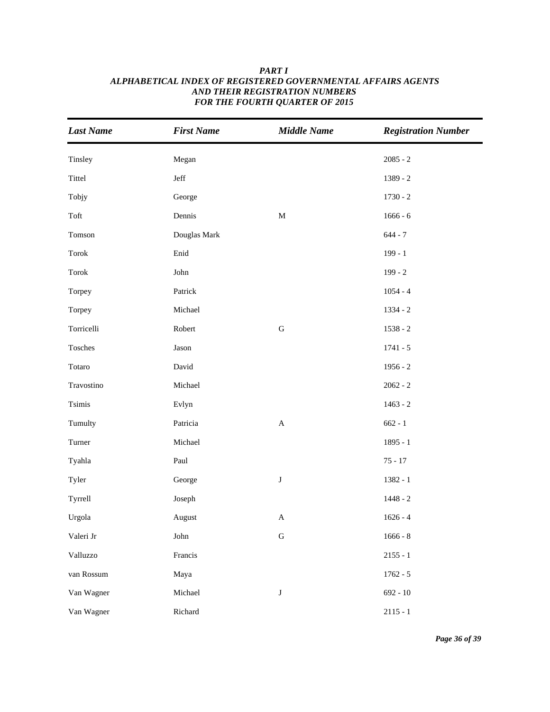| <b>Last Name</b>                | <b>First Name</b> | <b>Middle Name</b>        | <b>Registration Number</b> |
|---------------------------------|-------------------|---------------------------|----------------------------|
| Tinsley                         | Megan             |                           | $2085 - 2$                 |
| Tittel                          | Jeff              |                           | 1389 - 2                   |
| Tobjy                           | George            |                           | $1730 - 2$                 |
| Toft                            | Dennis            | $\mathbf M$               | $1666 - 6$                 |
| Tomson                          | Douglas Mark      |                           | $644 - 7$                  |
| Torok                           | Enid              |                           | $199 - 1$                  |
| $\operatorname{\mathsf{Torok}}$ | John              |                           | $199 - 2$                  |
| Torpey                          | Patrick           |                           | $1054 - 4$                 |
| Torpey                          | Michael           |                           | $1334 - 2$                 |
| Torricelli                      | Robert            | ${\bf G}$                 | $1538 - 2$                 |
| Tosches                         | Jason             |                           | $1741 - 5$                 |
| Totaro                          | David             |                           | $1956 - 2$                 |
| Travostino                      | Michael           |                           | $2062 - 2$                 |
| Tsimis                          | Evlyn             |                           | $1463 - 2$                 |
| Tumulty                         | Patricia          | $\mathbf A$               | $662 - 1$                  |
| Turner                          | Michael           |                           | $1895 - 1$                 |
| Tyahla                          | Paul              |                           | $75 - 17$                  |
| Tyler                           | George            | $\bf J$                   | $1382 - 1$                 |
| Tyrrell                         | Joseph            |                           | $1448 - 2$                 |
| Urgola                          | August            | $\boldsymbol{\mathsf{A}}$ | $1626 - 4$                 |
| Valeri Jr                       | ${\rm John}$      | ${\bf G}$                 | $1666 - 8$                 |
| Valluzzo                        | Francis           |                           | $2155 - 1$                 |
| van Rossum                      | Maya              |                           | $1762 - 5$                 |
| Van Wagner                      | Michael           | $\bf J$                   | $692 - 10$                 |
| Van Wagner                      | Richard           |                           | $2115 - 1$                 |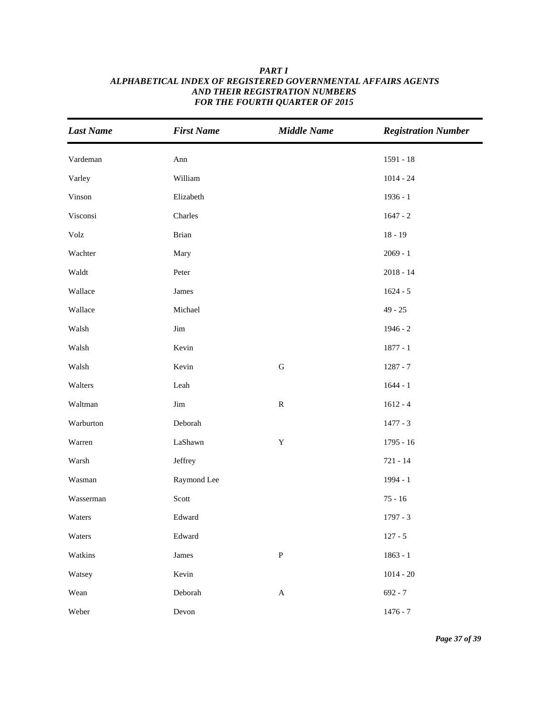| <b>Last Name</b> | <b>First Name</b>     | <b>Middle Name</b>        | <b>Registration Number</b> |
|------------------|-----------------------|---------------------------|----------------------------|
| Vardeman         | Ann                   |                           | $1591 - 18$                |
| Varley           | William               |                           | $1014 - 24$                |
| Vinson           | Elizabeth             |                           | $1936 - 1$                 |
| Visconsi         | Charles               |                           | $1647 - 2$                 |
| Volz             | <b>Brian</b>          |                           | $18 - 19$                  |
| Wachter          | Mary                  |                           | $2069 - 1$                 |
| Waldt            | Peter                 |                           | $2018 - 14$                |
| Wallace          | James                 |                           | $1624 - 5$                 |
| Wallace          | Michael               |                           | $49 - 25$                  |
| Walsh            | $\mathop{\text{Jim}}$ |                           | $1946 - 2$                 |
| Walsh            | Kevin                 |                           | $1877 - 1$                 |
| Walsh            | Kevin                 | ${\bf G}$                 | $1287 - 7$                 |
| Walters          | Leah                  |                           | $1644 - 1$                 |
| Waltman          | $\mathop{\text{Jim}}$ | ${\bf R}$                 | $1612 - 4$                 |
| Warburton        | Deborah               |                           | $1477 - 3$                 |
| Warren           | LaShawn               | $\mathbf Y$               | $1795 - 16$                |
| Warsh            | Jeffrey               |                           | $721 - 14$                 |
| Wasman           | Raymond Lee           |                           | 1994 - 1                   |
| Wasserman        | Scott                 |                           | $75 - 16$                  |
| Waters           | Edward                |                           | $1797 - 3$                 |
| Waters           | Edward                |                           | $127 - 5$                  |
| Watkins          | James                 | ${\bf P}$                 | $1863 - 1$                 |
| Watsey           | Kevin                 |                           | $1014 - 20$                |
| Wean             | Deborah               | $\boldsymbol{\mathsf{A}}$ | $692 - 7$                  |
| Weber            | Devon                 |                           | $1476 - 7$                 |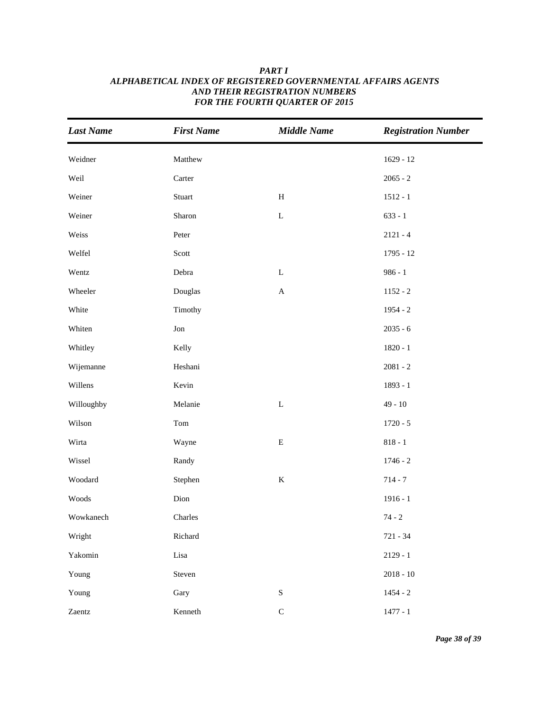| <b>Last Name</b> | <b>First Name</b> | <b>Middle Name</b> | <b>Registration Number</b> |
|------------------|-------------------|--------------------|----------------------------|
| Weidner          | Matthew           |                    | $1629 - 12$                |
| Weil             | Carter            |                    | $2065 - 2$                 |
| Weiner           | Stuart            | $\, {\rm H}$       | $1512 - 1$                 |
| Weiner           | Sharon            | $\mathbf L$        | $633 - 1$                  |
| Weiss            | Peter             |                    | $2121 - 4$                 |
| Welfel           | Scott             |                    | $1795 - 12$                |
| Wentz            | Debra             | ${\bf L}$          | $986 - 1$                  |
| Wheeler          | Douglas           | $\mathbf A$        | $1152 - 2$                 |
| White            | Timothy           |                    | $1954 - 2$                 |
| Whiten           | Jon               |                    | $2035 - 6$                 |
| Whitley          | Kelly             |                    | $1820 - 1$                 |
| Wijemanne        | Heshani           |                    | $2081 - 2$                 |
| Willens          | Kevin             |                    | 1893 - 1                   |
| Willoughby       | Melanie           | $\mathbf L$        | $49 - 10$                  |
| Wilson           | Tom               |                    | $1720 - 5$                 |
| Wirta            | Wayne             | ${\bf E}$          | $818 - 1$                  |
| Wissel           | Randy             |                    | $1746 - 2$                 |
| Woodard          | Stephen           | $\mathbf K$        | $714 - 7$                  |
| Woods            | Dion              |                    | $1916 - 1$                 |
| Wowkanech        | Charles           |                    | $74 - 2$                   |
| Wright           | Richard           |                    | $721 - 34$                 |
| Yakomin          | Lisa              |                    | $2129 - 1$                 |
| Young            | Steven            |                    | $2018 - 10$                |
| Young            | Gary              | ${\bf S}$          | $1454 - 2$                 |
| Zaentz           | Kenneth           | $\mathbf C$        | $1477 - 1$                 |